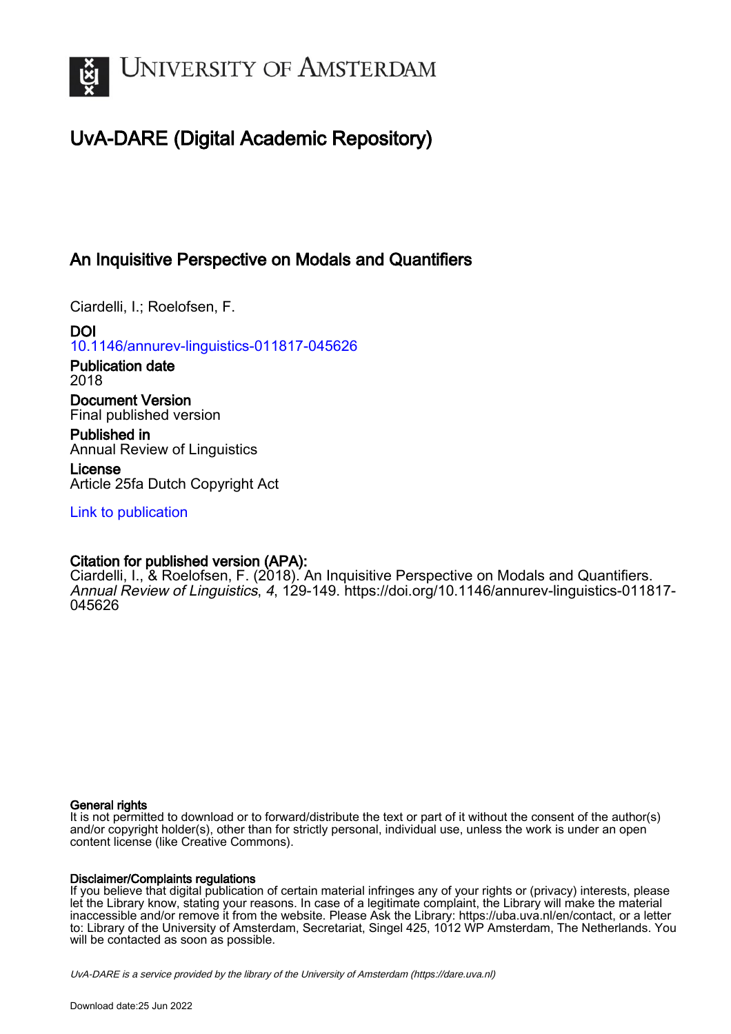

# UvA-DARE (Digital Academic Repository)

# An Inquisitive Perspective on Modals and Quantifiers

Ciardelli, I.; Roelofsen, F.

DOI [10.1146/annurev-linguistics-011817-045626](https://doi.org/10.1146/annurev-linguistics-011817-045626)

Publication date 2018

Document Version Final published version

Published in Annual Review of Linguistics

License Article 25fa Dutch Copyright Act

[Link to publication](https://dare.uva.nl/personal/pure/en/publications/an-inquisitive-perspective-on-modals-and-quantifiers(8cba7112-efc0-4927-83e0-52149d4ceecf).html)

## Citation for published version (APA):

Ciardelli, I., & Roelofsen, F. (2018). An Inquisitive Perspective on Modals and Quantifiers. Annual Review of Linguistics, 4, 129-149. [https://doi.org/10.1146/annurev-linguistics-011817-](https://doi.org/10.1146/annurev-linguistics-011817-045626) [045626](https://doi.org/10.1146/annurev-linguistics-011817-045626)

## General rights

It is not permitted to download or to forward/distribute the text or part of it without the consent of the author(s) and/or copyright holder(s), other than for strictly personal, individual use, unless the work is under an open content license (like Creative Commons).

## Disclaimer/Complaints regulations

If you believe that digital publication of certain material infringes any of your rights or (privacy) interests, please let the Library know, stating your reasons. In case of a legitimate complaint, the Library will make the material inaccessible and/or remove it from the website. Please Ask the Library: https://uba.uva.nl/en/contact, or a letter to: Library of the University of Amsterdam, Secretariat, Singel 425, 1012 WP Amsterdam, The Netherlands. You will be contacted as soon as possible.

UvA-DARE is a service provided by the library of the University of Amsterdam (http*s*://dare.uva.nl)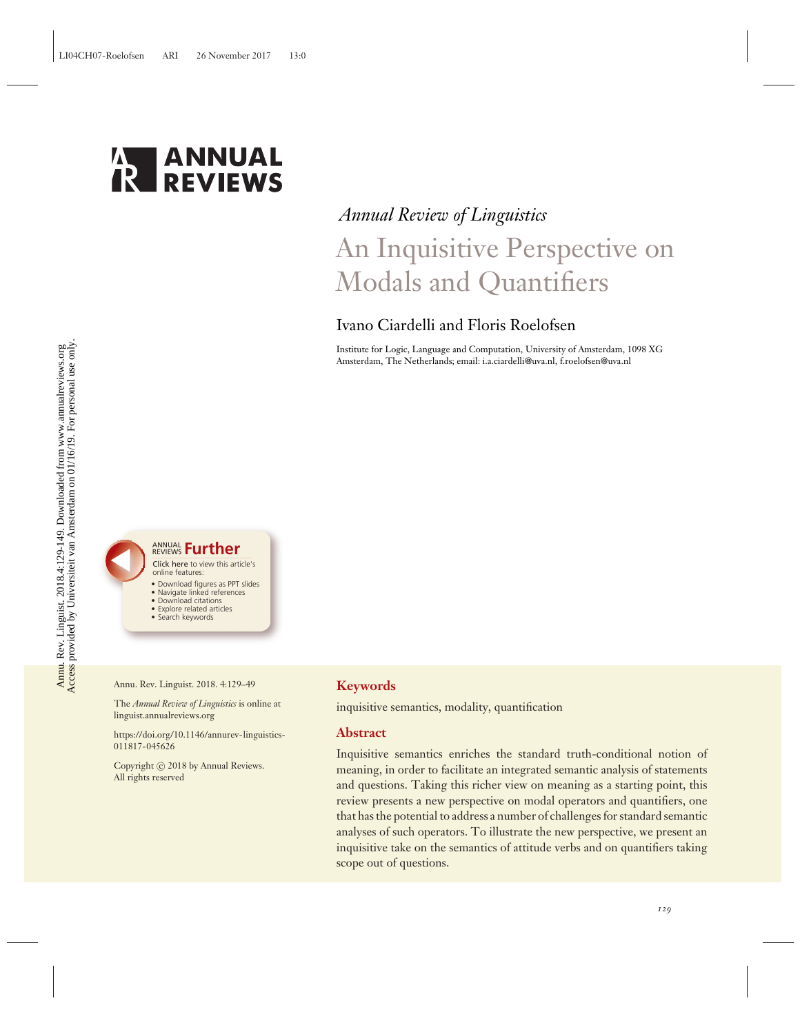

# *Annual Review of Linguistics* An Inquisitive Perspective on Modals and Quantifiers

## Ivano Ciardelli and Floris Roelofsen

Institute for Logic, Language and Computation, University of Amsterdam, 1098 XG Amsterdam, The Netherlands; email: i.a.ciardelli@uva.nl, f.roelofsen@uva.nl



- 
- Download figures as PPT slides • Navigate linked references
- Download citations
- Explore related articles
- Search keywords

Annu. Rev. Linguist. 2018. 4:129–49

The *Annual Review of Linguistics* is online at linguist.annualreviews.org

[https://doi.org/10.1146/annurev-linguistics-](https://doi.org/10.1146/annurev-linguistics-011817-045626)[011817-045626](https://doi.org/10.1146/annurev-linguistics-011817-045626)

Copyright  $\odot$  2018 by Annual Reviews. All rights reserved

### **Keywords**

inquisitive semantics, modality, quantification

#### **Abstract**

Inquisitive semantics enriches the standard truth-conditional notion of meaning, in order to facilitate an integrated semantic analysis of statements and questions. Taking this richer view on meaning as a starting point, this review presents a new perspective on modal operators and quantifiers, one that has the potential to address a number of challenges for standard semantic analyses of such operators. To illustrate the new perspective, we present an inquisitive take on the semantics of attitude verbs and on quantifiers taking scope out of questions.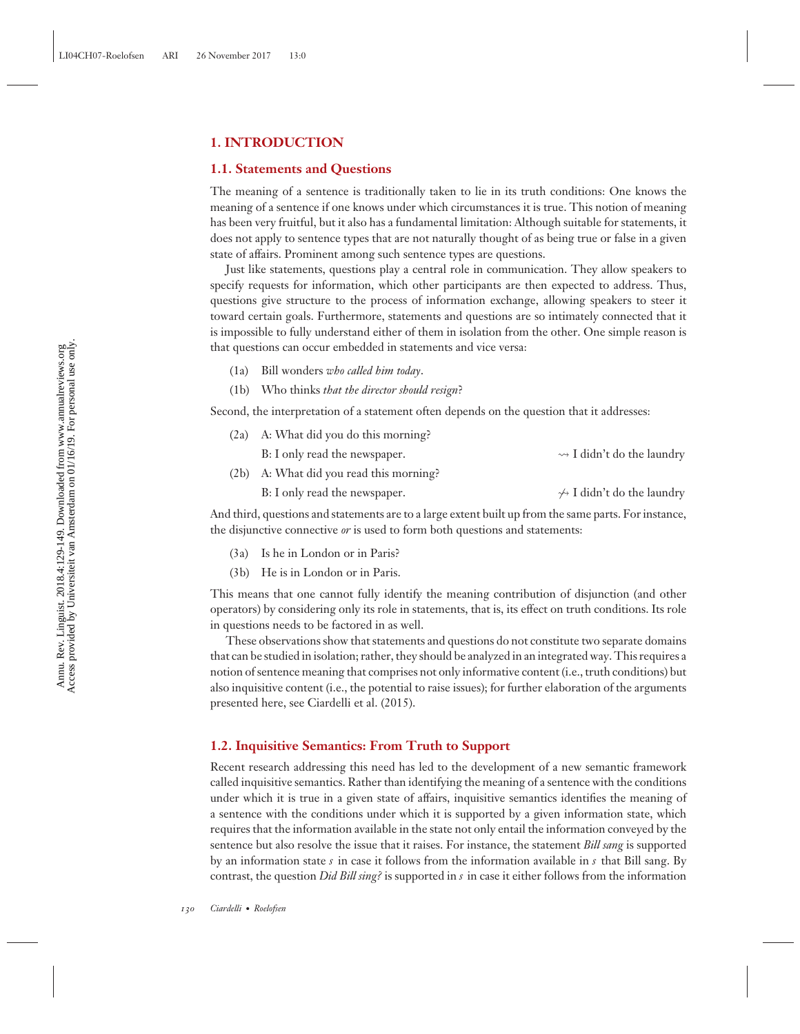#### **1. INTRODUCTION**

#### **1.1. Statements and Questions**

The meaning of a sentence is traditionally taken to lie in its truth conditions: One knows the meaning of a sentence if one knows under which circumstances it is true. This notion of meaning has been very fruitful, but it also has a fundamental limitation: Although suitable for statements, it does not apply to sentence types that are not naturally thought of as being true or false in a given state of affairs. Prominent among such sentence types are questions.

Just like statements, questions play a central role in communication. They allow speakers to specify requests for information, which other participants are then expected to address. Thus, questions give structure to the process of information exchange, allowing speakers to steer it toward certain goals. Furthermore, statements and questions are so intimately connected that it is impossible to fully understand either of them in isolation from the other. One simple reason is that questions can occur embedded in statements and vice versa:

- (1a) Bill wonders *who called him today*.
- (1b) Who thinks *that the director should resign*?

Second, the interpretation of a statement often depends on the question that it addresses:

| $(2a)$ A: What did you do this morning? |                                            |
|-----------------------------------------|--------------------------------------------|
| B: I only read the newspaper.           | $\rightsquigarrow$ I didn't do the laundry |
| (2b) A: What did you read this morning? |                                            |

B: I only read the newspaper.  $\rightarrow$  I didn't do the laundry

And third, questions and statements are to a large extent built up from the same parts. For instance, the disjunctive connective *or* is used to form both questions and statements:

- (3a) Is he in London or in Paris?
- (3b) He is in London or in Paris.

This means that one cannot fully identify the meaning contribution of disjunction (and other operators) by considering only its role in statements, that is, its effect on truth conditions. Its role in questions needs to be factored in as well.

These observations show that statements and questions do not constitute two separate domains that can be studied in isolation; rather, they should be analyzed in an integrated way. This requires a notion of sentence meaning that comprises not only informative content (i.e., truth conditions) but also inquisitive content (i.e., the potential to raise issues); for further elaboration of the arguments presented here, see Ciardelli et al. (2015).

#### **1.2. Inquisitive Semantics: From Truth to Support**

Recent research addressing this need has led to the development of a new semantic framework called inquisitive semantics. Rather than identifying the meaning of a sentence with the conditions under which it is true in a given state of affairs, inquisitive semantics identifies the meaning of a sentence with the conditions under which it is supported by a given information state, which requires that the information available in the state not only entail the information conveyed by the sentence but also resolve the issue that it raises. For instance, the statement *Bill sang* is supported by an information state *s* in case it follows from the information available in *s* that Bill sang. By contrast, the question *Did Bill sing?* is supported in *s* in case it either follows from the information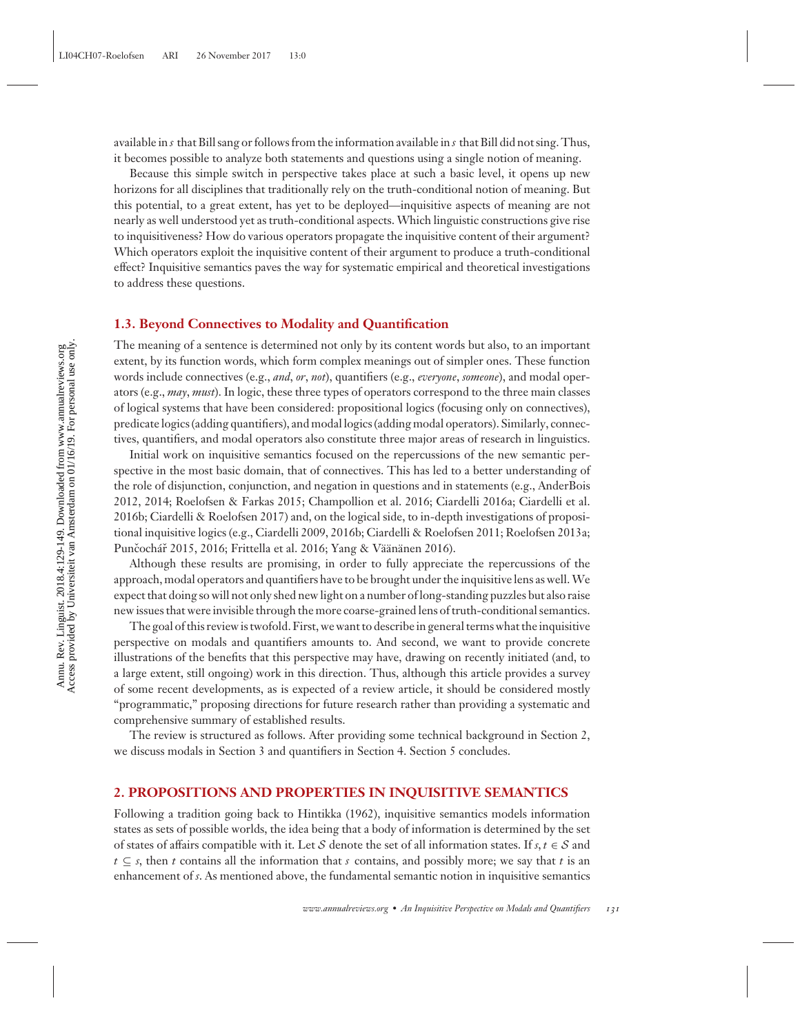available in *s* that Bill sang or follows from the information available in *s* that Bill did not sing. Thus, it becomes possible to analyze both statements and questions using a single notion of meaning.

Because this simple switch in perspective takes place at such a basic level, it opens up new horizons for all disciplines that traditionally rely on the truth-conditional notion of meaning. But this potential, to a great extent, has yet to be deployed—inquisitive aspects of meaning are not nearly as well understood yet as truth-conditional aspects. Which linguistic constructions give rise to inquisitiveness? How do various operators propagate the inquisitive content of their argument? Which operators exploit the inquisitive content of their argument to produce a truth-conditional effect? Inquisitive semantics paves the way for systematic empirical and theoretical investigations to address these questions.

#### **1.3. Beyond Connectives to Modality and Quantification**

The meaning of a sentence is determined not only by its content words but also, to an important extent, by its function words, which form complex meanings out of simpler ones. These function words include connectives (e.g., *and*, *or*, *not*), quantifiers (e.g., *everyone*, *someone*), and modal operators (e.g., *may*, *must*). In logic, these three types of operators correspond to the three main classes of logical systems that have been considered: propositional logics (focusing only on connectives), predicate logics (adding quantifiers), and modal logics (adding modal operators). Similarly, connectives, quantifiers, and modal operators also constitute three major areas of research in linguistics.

Initial work on inquisitive semantics focused on the repercussions of the new semantic perspective in the most basic domain, that of connectives. This has led to a better understanding of the role of disjunction, conjunction, and negation in questions and in statements (e.g., AnderBois 2012, 2014; Roelofsen & Farkas 2015; Champollion et al. 2016; Ciardelli 2016a; Ciardelli et al. 2016b; Ciardelli & Roelofsen 2017) and, on the logical side, to in-depth investigations of propositional inquisitive logics (e.g., Ciardelli 2009, 2016b; Ciardelli & Roelofsen 2011; Roelofsen 2013a; Punčochář 2015, 2016; Frittella et al. 2016; Yang & Väänänen 2016).

Although these results are promising, in order to fully appreciate the repercussions of the approach, modal operators and quantifiers have to be brought under the inquisitive lens as well.We expect that doing so will not only shed new light on a number of long-standing puzzles but also raise new issues that were invisible through the more coarse-grained lens of truth-conditional semantics.

The goal of this review is twofold. First, we want to describe in general terms what the inquisitive perspective on modals and quantifiers amounts to. And second, we want to provide concrete illustrations of the benefits that this perspective may have, drawing on recently initiated (and, to a large extent, still ongoing) work in this direction. Thus, although this article provides a survey of some recent developments, as is expected of a review article, it should be considered mostly "programmatic," proposing directions for future research rather than providing a systematic and comprehensive summary of established results.

The review is structured as follows. After providing some technical background in Section 2, we discuss modals in Section 3 and quantifiers in Section 4. Section 5 concludes.

#### **2. PROPOSITIONS AND PROPERTIES IN INQUISITIVE SEMANTICS**

Following a tradition going back to Hintikka (1962), inquisitive semantics models information states as sets of possible worlds, the idea being that a body of information is determined by the set of states of affairs compatible with it. Let S denote the set of all information states. If  $s, t \in S$  and *t* ⊆ *s*, then *t* contains all the information that *s* contains, and possibly more; we say that *t* is an enhancement of *s*. As mentioned above, the fundamental semantic notion in inquisitive semantics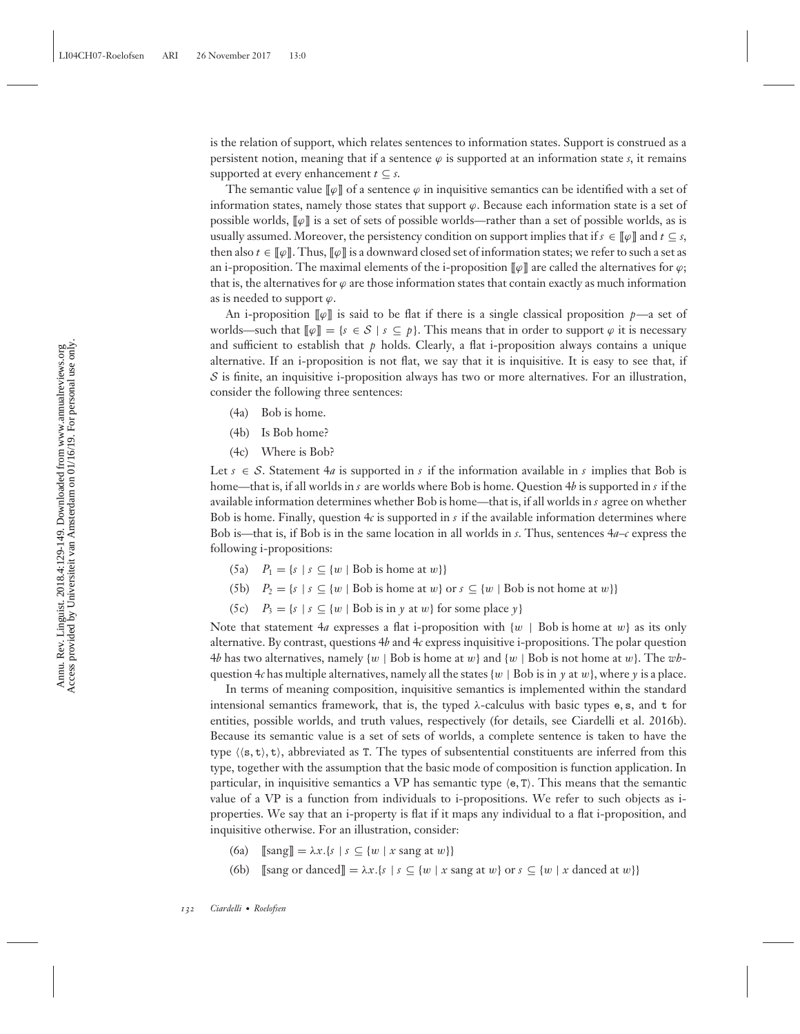is the relation of support, which relates sentences to information states. Support is construed as a persistent notion, meaning that if a sentence  $\varphi$  is supported at an information state *s*, it remains supported at every enhancement  $t \subseteq s$ .

The semantic value  $\llbracket \varphi \rrbracket$  of a sentence  $\varphi$  in inquisitive semantics can be identified with a set of information states, namely those states that support  $\varphi$ . Because each information state is a set of possible worlds,  $\llbracket \varphi \rrbracket$  is a set of sets of possible worlds—rather than a set of possible worlds, as is usually assumed. Moreover, the persistency condition on support implies that if  $s \in [\varphi]$  and  $t \subseteq s$ , then also  $t \in \llbracket \varphi \rrbracket$ . Thus,  $\llbracket \varphi \rrbracket$  is a downward closed set of information states; we refer to such a set as an i-proposition. The maximal elements of the i-proposition  $\llbracket \varphi \rrbracket$  are called the alternatives for  $\varphi$ ; that is, the alternatives for  $\varphi$  are those information states that contain exactly as much information as is needed to support  $\varphi$ .

An i-proposition  $\llbracket \varphi \rrbracket$  is said to be flat if there is a single classical proposition *p*—a set of worlds—such that  $[\![\varphi]\!] = \{s \in S \mid s \subseteq p\}$ . This means that in order to support  $\varphi$  it is necessary and sufficient to establish that  $p$  holds. Clearly, a flat i-proposition always contains a unique alternative. If an i-proposition is not flat, we say that it is inquisitive. It is easy to see that, if  $S$  is finite, an inquisitive i-proposition always has two or more alternatives. For an illustration, consider the following three sentences:

- (4a) Bob is home.
- (4b) Is Bob home?
- (4c) Where is Bob?

Let  $s \in S$ . Statement  $4a$  is supported in *s* if the information available in *s* implies that Bob is home—that is, if all worlds in *s* are worlds where Bob is home. Question 4*b* is supported in *s* if the available information determines whether Bob is home—that is, if all worlds in *s* agree on whether Bob is home. Finally, question 4*c* is supported in *s* if the available information determines where Bob is—that is, if Bob is in the same location in all worlds in *s*. Thus, sentences 4*a*–*c* express the following i-propositions:

- (5a)  $P_1 = \{s \mid s \subseteq \{w \mid \text{Bob is home at } w\}\}\$
- (5b)  $P_2 = \{s \mid s \subseteq \{w \mid Bob \text{ is home at } w\} \text{ or } s \subseteq \{w \mid Bob \text{ is not home at } w\}\}\$
- (5c)  $P_3 = \{s \mid s \subseteq \{w \mid \text{Bob is in } y \text{ at } w\} \text{ for some place } y\}$

Note that statement  $4a$  expresses a flat i-proposition with  $\{w \mid \text{Bob is home at } w\}$  as its only alternative. By contrast, questions 4*b* and 4*c* express inquisitive i-propositions. The polar question 4*b* has two alternatives, namely {w | Bob is home at w} and {w | Bob is not home at w}. The *wh*question 4*c* has multiple alternatives, namely all the states  $\{w \mid Bob \text{ is in } \gamma \text{ at } w\}$ , where  $\gamma$  is a place.

In terms of meaning composition, inquisitive semantics is implemented within the standard intensional semantics framework, that is, the typed  $\lambda$ -calculus with basic types e, s, and t for entities, possible worlds, and truth values, respectively (for details, see Ciardelli et al. 2016b). Because its semantic value is a set of sets of worlds, a complete sentence is taken to have the type  $\langle \langle s, t \rangle, t \rangle$ , abbreviated as T. The types of subsentential constituents are inferred from this type, together with the assumption that the basic mode of composition is function application. In particular, in inquisitive semantics a VP has semantic type  $\langle e, T \rangle$ . This means that the semantic value of a VP is a function from individuals to i-propositions. We refer to such objects as iproperties. We say that an i-property is flat if it maps any individual to a flat i-proposition, and inquisitive otherwise. For an illustration, consider:

- (6a)  $[\text{sang}] = \lambda x.\{s \mid s \subseteq \{w \mid x \text{ sang at } w\}\}\$
- (6b) [[sang or danced]] =  $\lambda x.\{s \mid s \subseteq \{w \mid x \text{ sang at } w\} \text{ or } s \subseteq \{w \mid x \text{ danced at } w\}\}\$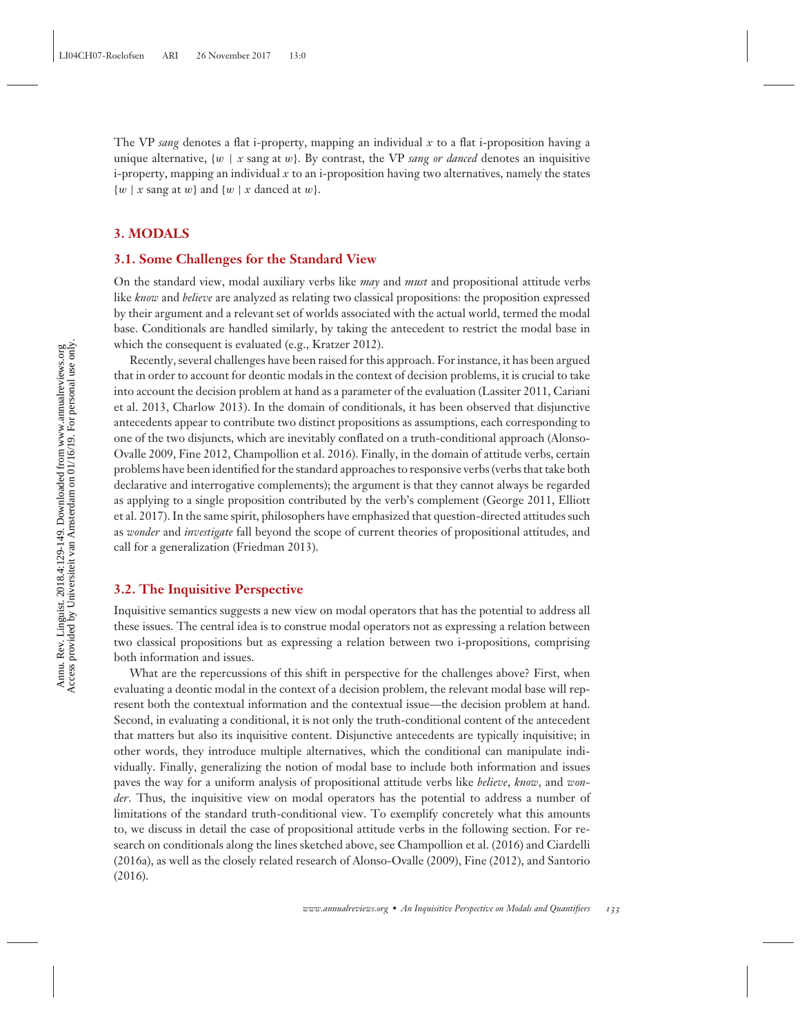The VP *sang* denotes a flat i-property, mapping an individual *x* to a flat i-proposition having a unique alternative,  $\{w \mid x \text{ sang at } w\}$ . By contrast, the VP *sang or danced* denotes an inquisitive  $i$ -property, mapping an individual  $x$  to an *i*-proposition having two alternatives, namely the states  $\{w \mid x \text{ sang at } w\}$  and  $\{w \mid x \text{ danced at } w\}$ .

#### **3. MODALS**

#### **3.1. Some Challenges for the Standard View**

On the standard view, modal auxiliary verbs like *may* and *must* and propositional attitude verbs like *know* and *believe* are analyzed as relating two classical propositions: the proposition expressed by their argument and a relevant set of worlds associated with the actual world, termed the modal base. Conditionals are handled similarly, by taking the antecedent to restrict the modal base in which the consequent is evaluated (e.g., Kratzer 2012).

Recently, several challenges have been raised for this approach. For instance, it has been argued that in order to account for deontic modals in the context of decision problems, it is crucial to take into account the decision problem at hand as a parameter of the evaluation (Lassiter 2011, Cariani et al. 2013, Charlow 2013). In the domain of conditionals, it has been observed that disjunctive antecedents appear to contribute two distinct propositions as assumptions, each corresponding to one of the two disjuncts, which are inevitably conflated on a truth-conditional approach (Alonso-Ovalle 2009, Fine 2012, Champollion et al. 2016). Finally, in the domain of attitude verbs, certain problems have been identified for the standard approaches to responsive verbs (verbs that take both declarative and interrogative complements); the argument is that they cannot always be regarded as applying to a single proposition contributed by the verb's complement (George 2011, Elliott et al. 2017). In the same spirit, philosophers have emphasized that question-directed attitudes such as *wonder* and *investigate* fall beyond the scope of current theories of propositional attitudes, and call for a generalization (Friedman 2013).

#### **3.2. The Inquisitive Perspective**

Inquisitive semantics suggests a new view on modal operators that has the potential to address all these issues. The central idea is to construe modal operators not as expressing a relation between two classical propositions but as expressing a relation between two i-propositions, comprising both information and issues.

What are the repercussions of this shift in perspective for the challenges above? First, when evaluating a deontic modal in the context of a decision problem, the relevant modal base will represent both the contextual information and the contextual issue—the decision problem at hand. Second, in evaluating a conditional, it is not only the truth-conditional content of the antecedent that matters but also its inquisitive content. Disjunctive antecedents are typically inquisitive; in other words, they introduce multiple alternatives, which the conditional can manipulate individually. Finally, generalizing the notion of modal base to include both information and issues paves the way for a uniform analysis of propositional attitude verbs like *believe*, *know*, and *wonder*. Thus, the inquisitive view on modal operators has the potential to address a number of limitations of the standard truth-conditional view. To exemplify concretely what this amounts to, we discuss in detail the case of propositional attitude verbs in the following section. For research on conditionals along the lines sketched above, see Champollion et al. (2016) and Ciardelli (2016a), as well as the closely related research of Alonso-Ovalle (2009), Fine (2012), and Santorio (2016).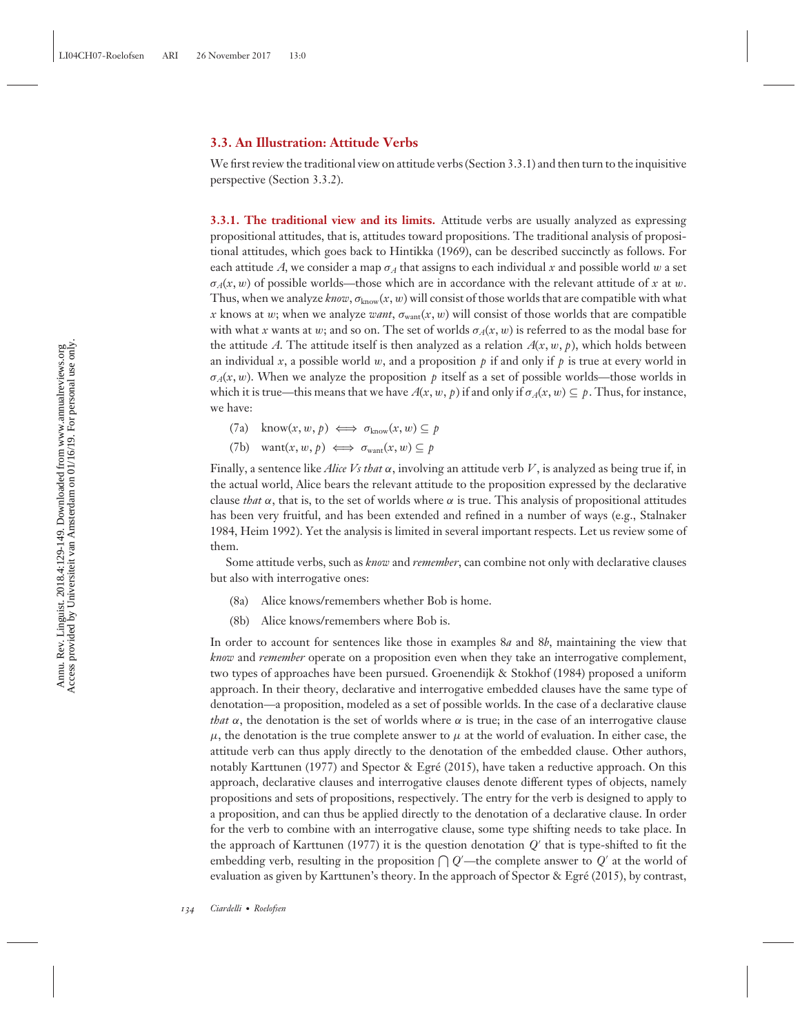#### **3.3. An Illustration: Attitude Verbs**

We first review the traditional view on attitude verbs (Section 3.3.1) and then turn to the inquisitive perspective (Section 3.3.2).

**3.3.1. The traditional view and its limits.** Attitude verbs are usually analyzed as expressing propositional attitudes, that is, attitudes toward propositions. The traditional analysis of propositional attitudes, which goes back to Hintikka (1969), can be described succinctly as follows. For each attitude A, we consider a map  $\sigma_A$  that assigns to each individual x and possible world w a set  $\sigma_A(x, w)$  of possible worlds—those which are in accordance with the relevant attitude of x at w. Thus, when we analyze *know*,  $\sigma_{\text{know}}(x, w)$  will consist of those worlds that are compatible with what *x* knows at w; when we analyze *want*,  $\sigma_{\text{want}}(x, w)$  will consist of those worlds that are compatible with what *x* wants at w; and so on. The set of worlds  $\sigma_A(x, w)$  is referred to as the modal base for the attitude *A*. The attitude itself is then analyzed as a relation  $A(x, w, p)$ , which holds between an individual *x*, a possible world *w*, and a proposition  $p$  if and only if  $p$  is true at every world in  $\sigma_A(x, w)$ . When we analyze the proposition p itself as a set of possible worlds—those worlds in which it is true—this means that we have  $A(x, w, p)$  if and only if  $\sigma_A(x, w) \subseteq p$ . Thus, for instance, we have:

- $(7a)$  know $(x, w, p) \iff \sigma_{\text{know}}(x, w) \subseteq p$
- (7b) want $(x, w, p) \iff \sigma_{\text{want}}(x, w) \subseteq p$

Finally, a sentence like *Alice Vs that* α, involving an attitude verb *V*, is analyzed as being true if, in the actual world, Alice bears the relevant attitude to the proposition expressed by the declarative clause *that*  $\alpha$ , that is, to the set of worlds where  $\alpha$  is true. This analysis of propositional attitudes has been very fruitful, and has been extended and refined in a number of ways (e.g., Stalnaker 1984, Heim 1992). Yet the analysis is limited in several important respects. Let us review some of them.

Some attitude verbs, such as *know* and *remember*, can combine not only with declarative clauses but also with interrogative ones:

- (8a) Alice knows/remembers whether Bob is home.
- (8b) Alice knows/remembers where Bob is.

In order to account for sentences like those in examples 8*a* and 8*b*, maintaining the view that *know* and *remember* operate on a proposition even when they take an interrogative complement, two types of approaches have been pursued. Groenendijk & Stokhof (1984) proposed a uniform approach. In their theory, declarative and interrogative embedded clauses have the same type of denotation—a proposition, modeled as a set of possible worlds. In the case of a declarative clause *that*  $\alpha$ , the denotation is the set of worlds where  $\alpha$  is true; in the case of an interrogative clause  $\mu$ , the denotation is the true complete answer to  $\mu$  at the world of evaluation. In either case, the attitude verb can thus apply directly to the denotation of the embedded clause. Other authors, notably Karttunen (1977) and Spector & Egré (2015), have taken a reductive approach. On this approach, declarative clauses and interrogative clauses denote different types of objects, namely propositions and sets of propositions, respectively. The entry for the verb is designed to apply to a proposition, and can thus be applied directly to the denotation of a declarative clause. In order for the verb to combine with an interrogative clause, some type shifting needs to take place. In the approach of Karttunen (1977) it is the question denotation *Q* that is type-shifted to fit the embedding verb, resulting in the proposition  $\bigcap Q'$ —the complete answer to  $Q'$  at the world of evaluation as given by Karttunen's theory. In the approach of Spector & Egre (2015), by contrast, ´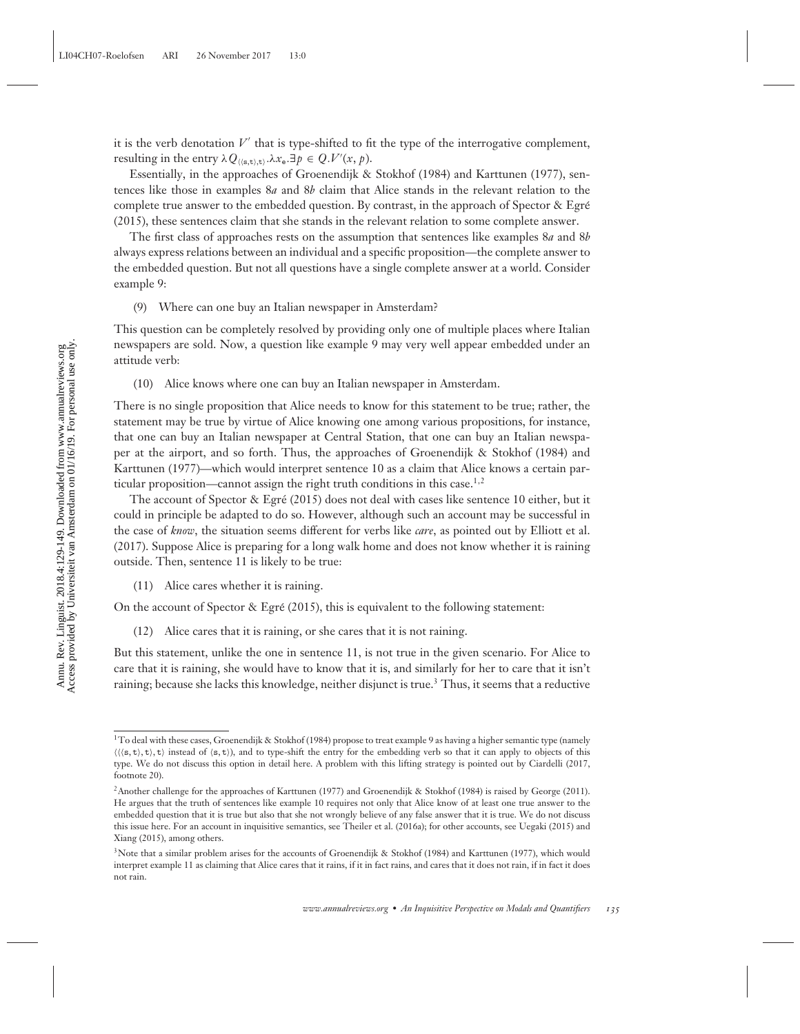it is the verb denotation  $V'$  that is type-shifted to fit the type of the interrogative complement, resulting in the entry  $\lambda Q_{\langle\langle s,t\rangle,t\rangle}.\lambda x_{e}.\exists p \in Q.V'(x,p).$ 

Essentially, in the approaches of Groenendijk & Stokhof (1984) and Karttunen (1977), sentences like those in examples 8*a* and 8*b* claim that Alice stands in the relevant relation to the complete true answer to the embedded question. By contrast, in the approach of Spector  $\&$  Egré (2015), these sentences claim that she stands in the relevant relation to some complete answer.

The first class of approaches rests on the assumption that sentences like examples 8*a* and 8*b* always express relations between an individual and a specific proposition—the complete answer to the embedded question. But not all questions have a single complete answer at a world. Consider example 9:

(9) Where can one buy an Italian newspaper in Amsterdam?

This question can be completely resolved by providing only one of multiple places where Italian newspapers are sold. Now, a question like example 9 may very well appear embedded under an attitude verb:

(10) Alice knows where one can buy an Italian newspaper in Amsterdam.

There is no single proposition that Alice needs to know for this statement to be true; rather, the statement may be true by virtue of Alice knowing one among various propositions, for instance, that one can buy an Italian newspaper at Central Station, that one can buy an Italian newspaper at the airport, and so forth. Thus, the approaches of Groenendijk & Stokhof (1984) and Karttunen (1977)—which would interpret sentence 10 as a claim that Alice knows a certain particular proposition—cannot assign the right truth conditions in this case.<sup>1,2</sup>

The account of Spector & Egré (2015) does not deal with cases like sentence 10 either, but it could in principle be adapted to do so. However, although such an account may be successful in the case of *know*, the situation seems different for verbs like *care*, as pointed out by Elliott et al. (2017). Suppose Alice is preparing for a long walk home and does not know whether it is raining outside. Then, sentence 11 is likely to be true:

(11) Alice cares whether it is raining.

On the account of Spector & Egré  $(2015)$ , this is equivalent to the following statement:

(12) Alice cares that it is raining, or she cares that it is not raining.

But this statement, unlike the one in sentence 11, is not true in the given scenario. For Alice to care that it is raining, she would have to know that it is, and similarly for her to care that it isn't raining; because she lacks this knowledge, neither disjunct is true.<sup>3</sup> Thus, it seems that a reductive

<sup>&</sup>lt;sup>1</sup>To deal with these cases, Groenendijk & Stokhof (1984) propose to treat example 9 as having a higher semantic type (namely  $\langle \langle \langle s, t \rangle, t \rangle$ , t) instead of  $\langle s, t \rangle$ , and to type-shift the entry for the embedding verb so that it can apply to objects of this type. We do not discuss this option in detail here. A problem with this lifting strategy is pointed out by Ciardelli (2017, footnote 20).

<sup>2</sup>Another challenge for the approaches of Karttunen (1977) and Groenendijk & Stokhof (1984) is raised by George (2011). He argues that the truth of sentences like example 10 requires not only that Alice know of at least one true answer to the embedded question that it is true but also that she not wrongly believe of any false answer that it is true. We do not discuss this issue here. For an account in inquisitive semantics, see Theiler et al. (2016a); for other accounts, see Uegaki (2015) and Xiang (2015), among others.

<sup>&</sup>lt;sup>3</sup>Note that a similar problem arises for the accounts of Groenendijk & Stokhof (1984) and Karttunen (1977), which would interpret example 11 as claiming that Alice cares that it rains, if it in fact rains, and cares that it does not rain, if in fact it does not rain.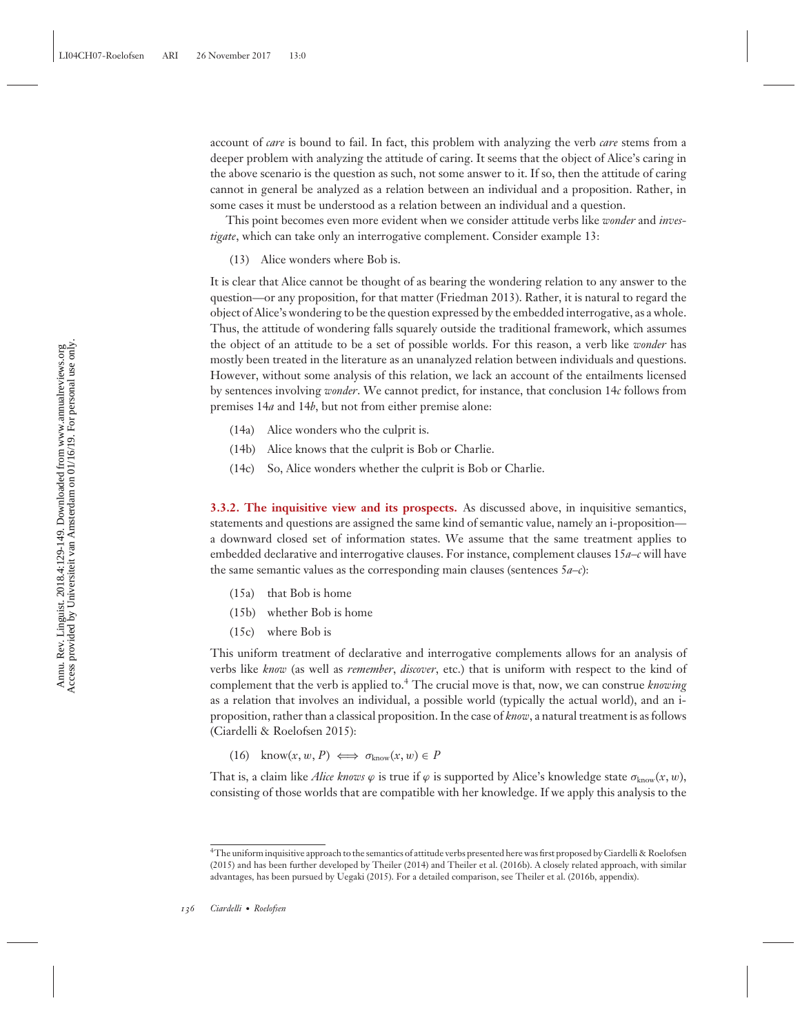account of *care* is bound to fail. In fact, this problem with analyzing the verb *care* stems from a deeper problem with analyzing the attitude of caring. It seems that the object of Alice's caring in the above scenario is the question as such, not some answer to it. If so, then the attitude of caring cannot in general be analyzed as a relation between an individual and a proposition. Rather, in some cases it must be understood as a relation between an individual and a question.

This point becomes even more evident when we consider attitude verbs like *wonder* and *investigate*, which can take only an interrogative complement. Consider example 13:

(13) Alice wonders where Bob is.

It is clear that Alice cannot be thought of as bearing the wondering relation to any answer to the question—or any proposition, for that matter (Friedman 2013). Rather, it is natural to regard the object of Alice's wondering to be the question expressed by the embedded interrogative, as a whole. Thus, the attitude of wondering falls squarely outside the traditional framework, which assumes the object of an attitude to be a set of possible worlds. For this reason, a verb like *wonder* has mostly been treated in the literature as an unanalyzed relation between individuals and questions. However, without some analysis of this relation, we lack an account of the entailments licensed by sentences involving *wonder*. We cannot predict, for instance, that conclusion 14*c* follows from premises 14*a* and 14*b*, but not from either premise alone:

- (14a) Alice wonders who the culprit is.
- (14b) Alice knows that the culprit is Bob or Charlie.
- (14c) So, Alice wonders whether the culprit is Bob or Charlie.

**3.3.2. The inquisitive view and its prospects.** As discussed above, in inquisitive semantics, statements and questions are assigned the same kind of semantic value, namely an i-proposition a downward closed set of information states. We assume that the same treatment applies to embedded declarative and interrogative clauses. For instance, complement clauses 15*a*–*c* will have the same semantic values as the corresponding main clauses (sentences 5*a*–*c*):

- (15a) that Bob is home
- (15b) whether Bob is home
- (15c) where Bob is

This uniform treatment of declarative and interrogative complements allows for an analysis of verbs like *know* (as well as *remember*, *discover*, etc.) that is uniform with respect to the kind of complement that the verb is applied to.4 The crucial move is that, now, we can construe *knowing* as a relation that involves an individual, a possible world (typically the actual world), and an iproposition, rather than a classical proposition. In the case of *know*, a natural treatment is as follows (Ciardelli & Roelofsen 2015):

 $(16)$  know $(x, w, P) \iff \sigma_{\text{know}}(x, w) \in P$ 

That is, a claim like *Alice knows*  $\varphi$  is true if  $\varphi$  is supported by Alice's knowledge state  $\sigma_{\text{know}}(x, w)$ , consisting of those worlds that are compatible with her knowledge. If we apply this analysis to the

<sup>4</sup>The uniform inquisitive approach to the semantics of attitude verbs presented here was first proposed by Ciardelli & Roelofsen (2015) and has been further developed by Theiler (2014) and Theiler et al. (2016b). A closely related approach, with similar advantages, has been pursued by Uegaki (2015). For a detailed comparison, see Theiler et al. (2016b, appendix).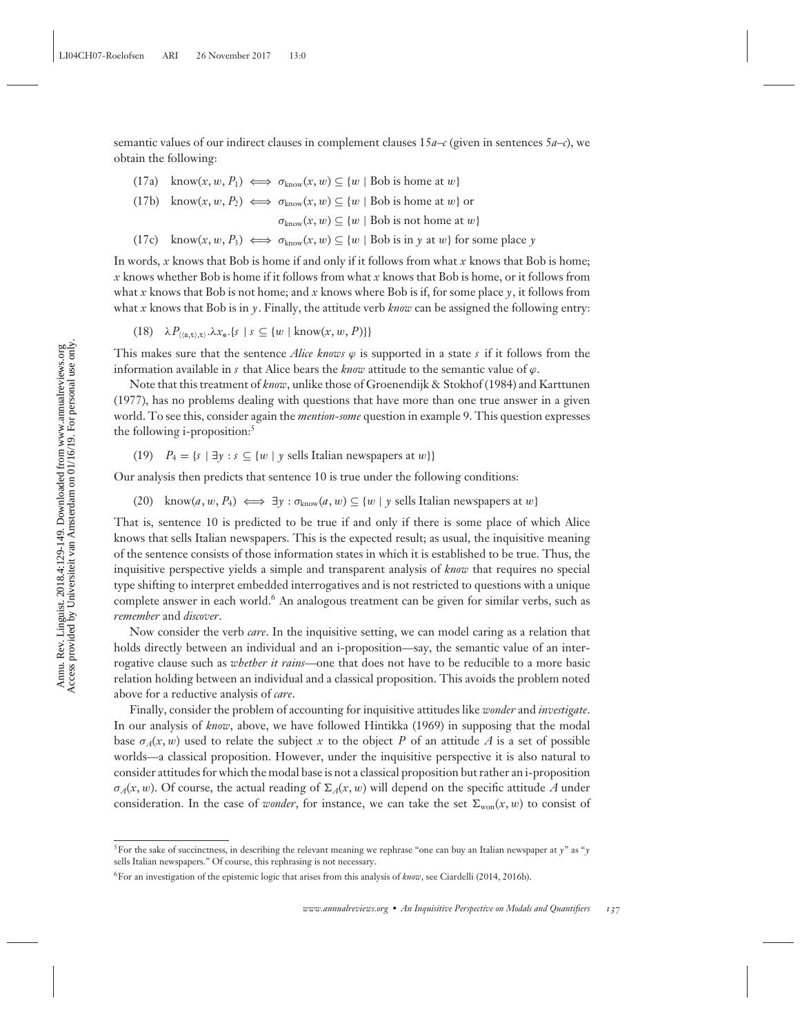semantic values of our indirect clauses in complement clauses  $15a-\text{c}$  (given in sentences  $5a-\text{c}$ ), we obtain the following:

- (17a) know $(x, w, P_1) \iff \sigma_{\text{know}}(x, w) \subseteq \{w \mid \text{Bob is home at } w\}$
- (17b) know $(x, w, P_2) \iff \sigma_{\text{know}}(x, w) \subseteq \{w \mid \text{Bob is home at } w\}$  or

 $\sigma_{\text{know}}(x, w) \subseteq \{w \mid \text{Bob is not home at } w\}$ 

(17c) know $(x, w, P_3) \iff \sigma_{\text{know}}(x, w) \subseteq \{w \mid \text{Bob is in } y \text{ at } w\}$  for some place *y* 

In words, *x* knows that Bob is home if and only if it follows from what *x* knows that Bob is home; *x* knows whether Bob is home if it follows from what *x* knows that Bob is home, or it follows from what *x* knows that Bob is not home; and *x* knows where Bob is if, for some place  $\gamma$ , it follows from what *x* knows that Bob is in *y*. Finally, the attitude verb *know* can be assigned the following entry:

 $(18)$   $\lambda P_{(\langle s,t\rangle,t)} \cdot \lambda x_{\epsilon}$ .{ $s \mid s \subseteq \{w \mid \text{know}(x,w,P)\}\$ 

This makes sure that the sentence *Alice knows*  $\varphi$  is supported in a state  $s$  if it follows from the information available in *s* that Alice bears the *know* attitude to the semantic value of  $\varphi$ .

Note that this treatment of *know*, unlike those of Groenendijk & Stokhof (1984) and Karttunen (1977), has no problems dealing with questions that have more than one true answer in a given world. To see this, consider again the *mention-some* question in example 9. This question expresses the following *i*-proposition:<sup>5</sup>

(19)  $P_4 = \{s \mid \exists y : s \subseteq \{w \mid y \text{ sells Italian newspapers at } w\}\}\$ 

Our analysis then predicts that sentence 10 is true under the following conditions:

(20) know $(a, w, P_4) \iff \exists y : \sigma_{\text{know}}(a, w) \subseteq \{w \mid y \text{ sells Italian newspapers at } w\}$ 

That is, sentence 10 is predicted to be true if and only if there is some place of which Alice knows that sells Italian newspapers. This is the expected result; as usual, the inquisitive meaning of the sentence consists of those information states in which it is established to be true. Thus, the inquisitive perspective yields a simple and transparent analysis of *know* that requires no special type shifting to interpret embedded interrogatives and is not restricted to questions with a unique complete answer in each world.<sup>6</sup> An analogous treatment can be given for similar verbs, such as *remember* and *discover*.

Now consider the verb *care*. In the inquisitive setting, we can model caring as a relation that holds directly between an individual and an i-proposition—say, the semantic value of an interrogative clause such as *whether it rains*—one that does not have to be reducible to a more basic relation holding between an individual and a classical proposition. This avoids the problem noted above for a reductive analysis of *care*.

Finally, consider the problem of accounting for inquisitive attitudes like *wonder* and *investigate*. In our analysis of *know*, above, we have followed Hintikka (1969) in supposing that the modal base  $\sigma_A(x, w)$  used to relate the subject x to the object P of an attitude A is a set of possible worlds—a classical proposition. However, under the inquisitive perspective it is also natural to consider attitudes for which the modal base is not a classical proposition but rather an i-proposition  $\sigma_A(x, w)$ . Of course, the actual reading of  $\Sigma_A(x, w)$  will depend on the specific attitude A under consideration. In the case of *wonder*, for instance, we can take the set  $\Sigma_{\text{won}}(x, w)$  to consist of

 $^5$ For the sake of succinctness, in describing the relevant meaning we rephrase "one can buy an Italian newspaper at  $\gamma$ " as " $\gamma$ sells Italian newspapers." Of course, this rephrasing is not necessary.

<sup>6</sup>For an investigation of the epistemic logic that arises from this analysis of *know*, see Ciardelli (2014, 2016b).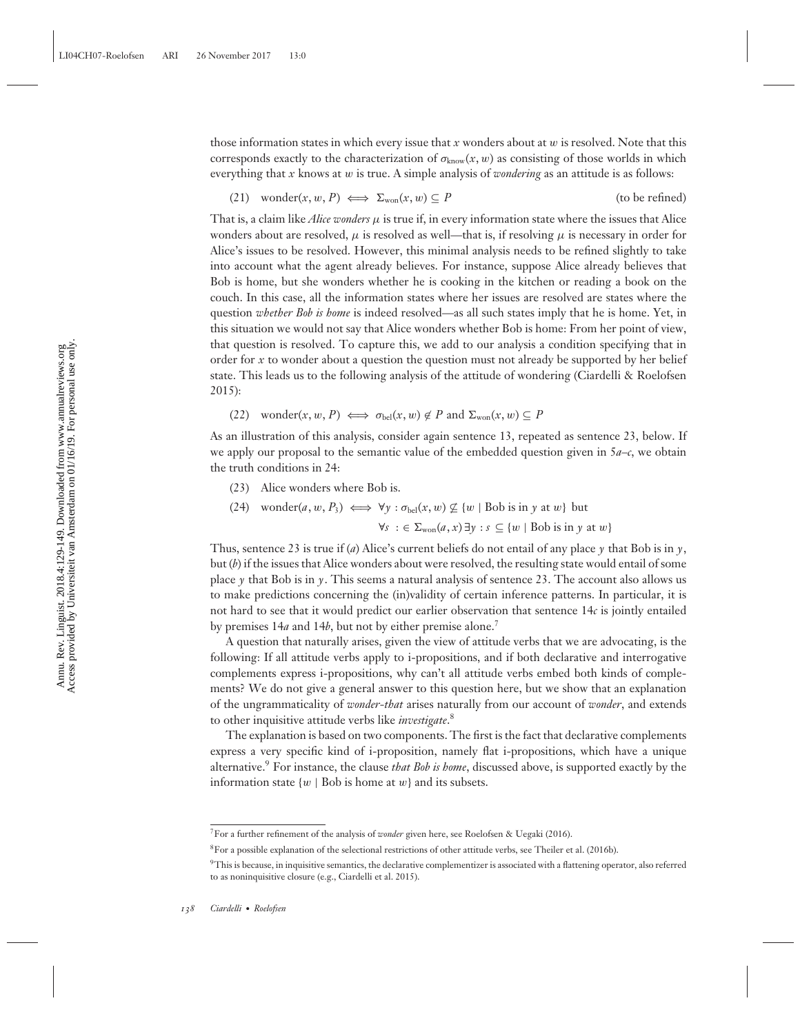those information states in which every issue that  $x$  wonders about at  $w$  is resolved. Note that this corresponds exactly to the characterization of  $\sigma_{\text{know}}(x, w)$  as consisting of those worlds in which everything that *x* knows at w is true. A simple analysis of *wondering* as an attitude is as follows:

(21) wonder $(x, w, P) \iff \Sigma_{\text{won}}(x, w) \subseteq P$  (to be refined)

That is, a claim like *Alice wonders* μ is true if, in every information state where the issues that Alice wonders about are resolved,  $\mu$  is resolved as well—that is, if resolving  $\mu$  is necessary in order for Alice's issues to be resolved. However, this minimal analysis needs to be refined slightly to take into account what the agent already believes. For instance, suppose Alice already believes that Bob is home, but she wonders whether he is cooking in the kitchen or reading a book on the couch. In this case, all the information states where her issues are resolved are states where the question *whether Bob is home* is indeed resolved—as all such states imply that he is home. Yet, in this situation we would not say that Alice wonders whether Bob is home: From her point of view, that question is resolved. To capture this, we add to our analysis a condition specifying that in order for *x* to wonder about a question the question must not already be supported by her belief state. This leads us to the following analysis of the attitude of wondering (Ciardelli & Roelofsen 2015):

 $(22)$  wonder $(x, w, P) \iff \sigma_{\text{bel}}(x, w) \notin P$  and  $\Sigma_{\text{won}}(x, w) \subseteq P$ 

As an illustration of this analysis, consider again sentence 13, repeated as sentence 23, below. If we apply our proposal to the semantic value of the embedded question given in  $5a-c$ , we obtain the truth conditions in 24:

- (23) Alice wonders where Bob is.
- $(24)$  wonder $(a, w, P_3) \iff \forall y : \sigma_{\text{bel}}(x, w) \not\subseteq \{w \mid \text{Bob is in } y \text{ at } w\}$  but  $\forall s : \in \Sigma_{\text{won}}(a, x) \exists y : s \subseteq \{w \mid \text{Bob is in } y \text{ at } w\}$

Thus, sentence 23 is true if (*a*) Alice's current beliefs do not entail of any place *y* that Bob is in *y*, but (*b*) if the issues that Alice wonders about were resolved, the resulting state would entail of some place  $\gamma$  that Bob is in  $\gamma$ . This seems a natural analysis of sentence 23. The account also allows us to make predictions concerning the (in)validity of certain inference patterns. In particular, it is not hard to see that it would predict our earlier observation that sentence 14*c* is jointly entailed by premises 14*a* and 14*b*, but not by either premise alone.<sup>7</sup>

A question that naturally arises, given the view of attitude verbs that we are advocating, is the following: If all attitude verbs apply to i-propositions, and if both declarative and interrogative complements express i-propositions, why can't all attitude verbs embed both kinds of complements? We do not give a general answer to this question here, but we show that an explanation of the ungrammaticality of *wonder-that* arises naturally from our account of *wonder*, and extends to other inquisitive attitude verbs like *investigate*. 8

The explanation is based on two components. The first is the fact that declarative complements express a very specific kind of i-proposition, namely flat i-propositions, which have a unique alternative.<sup>9</sup> For instance, the clause *that Bob is home*, discussed above, is supported exactly by the information state  $\{w \mid Bob$  is home at  $w\}$  and its subsets.

<sup>7</sup>For a further refinement of the analysis of *wonder* given here, see Roelofsen & Uegaki (2016).

<sup>8</sup>For a possible explanation of the selectional restrictions of other attitude verbs, see Theiler et al. (2016b).

<sup>&</sup>lt;sup>9</sup>This is because, in inquisitive semantics, the declarative complementizer is associated with a flattening operator, also referred to as noninquisitive closure (e.g., Ciardelli et al. 2015).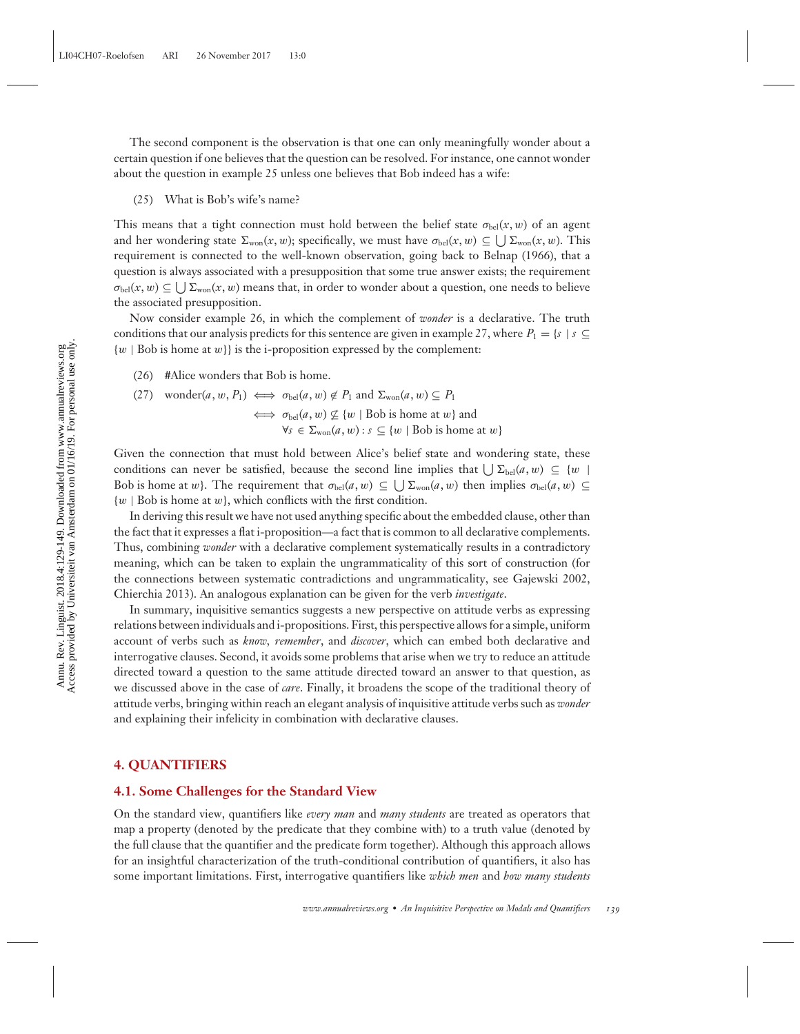The second component is the observation is that one can only meaningfully wonder about a certain question if one believes that the question can be resolved. For instance, one cannot wonder about the question in example 25 unless one believes that Bob indeed has a wife:

(25) What is Bob's wife's name?

This means that a tight connection must hold between the belief state  $\sigma_{\text{bel}}(x, w)$  of an agent and her wondering state  $\Sigma_{\text{won}}(x, w)$ ; specifically, we must have  $\sigma_{\text{bel}}(x, w) \subseteq \bigcup \Sigma_{\text{won}}(x, w)$ . This requirement is connected to the well-known observation, going back to Belnap (1966), that a question is always associated with a presupposition that some true answer exists; the requirement  $\sigma_{\text{bel}}(x, w) \subseteq \bigcup \Sigma_{\text{won}}(x, w)$  means that, in order to wonder about a question, one needs to believe the associated presupposition.

Now consider example 26, in which the complement of *wonder* is a declarative. The truth conditions that our analysis predicts for this sentence are given in example 27, where  $P_1 = \{s \mid s \subseteq$  $\{w \mid Bob$  is home at  $w\}$  is the i-proposition expressed by the complement:

(26) #Alice wonders that Bob is home.

(27) wonder(*a*, *w*, *P*<sub>1</sub>) 
$$
\iff \sigma_{\text{bel}}(a, w) \notin P_1
$$
 and  $\Sigma_{\text{won}}(a, w) \subseteq P_1$   
 $\iff \sigma_{\text{bel}}(a, w) \not\subseteq \{w \mid \text{Bob is home at } w\}$  and  
 $\forall s \in \Sigma_{\text{won}}(a, w) : s \subseteq \{w \mid \text{Bob is home at } w\}$ 

Given the connection that must hold between Alice's belief state and wondering state, these conditions can never be satisfied, because the second line implies that  $\bigcup \Sigma_{\text{bel}}(a, w) \subseteq \{w \mid \}$ Bob is home at w}. The requirement that  $\sigma_{bel}(a, w) \subseteq \bigcup \Sigma_{wo}(a, w)$  then implies  $\sigma_{bel}(a, w) \subseteq$  $\{w \mid Bob$  is home at w, which conflicts with the first condition.

In deriving this result we have not used anything specific about the embedded clause, other than the fact that it expresses a flat i-proposition—a fact that is common to all declarative complements. Thus, combining *wonder* with a declarative complement systematically results in a contradictory meaning, which can be taken to explain the ungrammaticality of this sort of construction (for the connections between systematic contradictions and ungrammaticality, see Gajewski 2002, Chierchia 2013). An analogous explanation can be given for the verb *investigate*.

In summary, inquisitive semantics suggests a new perspective on attitude verbs as expressing relations between individuals and i-propositions. First, this perspective allows for a simple, uniform account of verbs such as *know, remember*, and *discover*, which can embed both declarative and interrogative clauses. Second, it avoids some problems that arise when we try to reduce an attitude directed toward a question to the same attitude directed toward an answer to that question, as we discussed above in the case of *care*. Finally, it broadens the scope of the traditional theory of attitude verbs, bringing within reach an elegant analysis of inquisitive attitude verbs such as *wonder* and explaining their infelicity in combination with declarative clauses.

#### **4. QUANTIFIERS**

#### **4.1. Some Challenges for the Standard View**

On the standard view, quantifiers like *every man* and *many students* are treated as operators that map a property (denoted by the predicate that they combine with) to a truth value (denoted by the full clause that the quantifier and the predicate form together). Although this approach allows for an insightful characterization of the truth-conditional contribution of quantifiers, it also has some important limitations. First, interrogative quantifiers like *which men* and *how many students*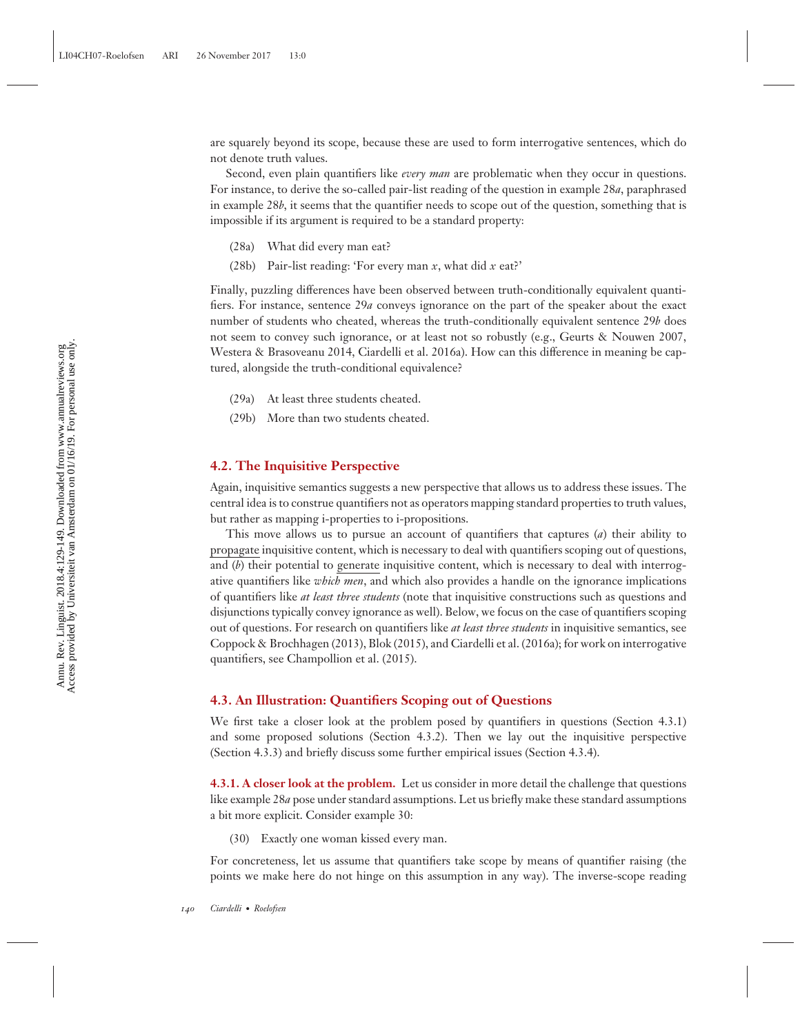are squarely beyond its scope, because these are used to form interrogative sentences, which do not denote truth values.

Second, even plain quantifiers like *every man* are problematic when they occur in questions. For instance, to derive the so-called pair-list reading of the question in example 28*a*, paraphrased in example 28*b*, it seems that the quantifier needs to scope out of the question, something that is impossible if its argument is required to be a standard property:

- (28a) What did every man eat?
- (28b) Pair-list reading: 'For every man *x*, what did *x* eat?'

Finally, puzzling differences have been observed between truth-conditionally equivalent quantifiers. For instance, sentence 29*a* conveys ignorance on the part of the speaker about the exact number of students who cheated, whereas the truth-conditionally equivalent sentence 29*b* does not seem to convey such ignorance, or at least not so robustly (e.g., Geurts & Nouwen 2007, Westera & Brasoveanu 2014, Ciardelli et al. 2016a). How can this difference in meaning be captured, alongside the truth-conditional equivalence?

- (29a) At least three students cheated.
- (29b) More than two students cheated.

#### **4.2. The Inquisitive Perspective**

Again, inquisitive semantics suggests a new perspective that allows us to address these issues. The central idea is to construe quantifiers not as operators mapping standard properties to truth values, but rather as mapping i-properties to i-propositions.

This move allows us to pursue an account of quantifiers that captures (*a*) their ability to propagate inquisitive content, which is necessary to deal with quantifiers scoping out of questions, and (b) their potential to generate inquisitive content, which is necessary to deal with interrogative quantifiers like *which men*, and which also provides a handle on the ignorance implications of quantifiers like *at least three students* (note that inquisitive constructions such as questions and disjunctions typically convey ignorance as well). Below, we focus on the case of quantifiers scoping out of questions. For research on quantifiers like *at least three students* in inquisitive semantics, see Coppock & Brochhagen (2013), Blok (2015), and Ciardelli et al. (2016a); for work on interrogative quantifiers, see Champollion et al. (2015).

#### **4.3. An Illustration: Quantifiers Scoping out of Questions**

We first take a closer look at the problem posed by quantifiers in questions (Section 4.3.1) and some proposed solutions (Section 4.3.2). Then we lay out the inquisitive perspective (Section 4.3.3) and briefly discuss some further empirical issues (Section 4.3.4).

**4.3.1. A closer look at the problem.** Let us consider in more detail the challenge that questions like example 28*a* pose under standard assumptions. Let us briefly make these standard assumptions a bit more explicit. Consider example 30:

(30) Exactly one woman kissed every man.

For concreteness, let us assume that quantifiers take scope by means of quantifier raising (the points we make here do not hinge on this assumption in any way). The inverse-scope reading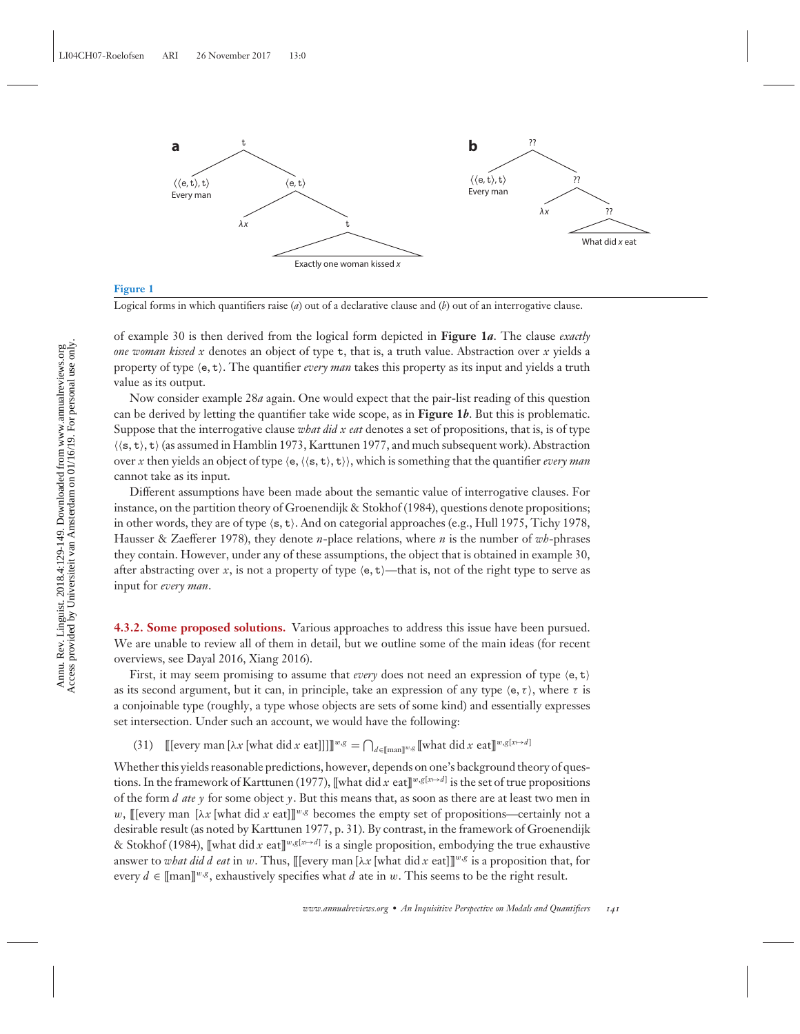

#### **Figure 1**

Logical forms in which quantifiers raise (*a*) out of a declarative clause and (*b*) out of an interrogative clause.

of example 30 is then derived from the logical form depicted in **Figure 1***a*. The clause *exactly one woman kissed x* denotes an object of type t, that is, a truth value. Abstraction over *x* yields a property of type  $(e, t)$ . The quantifier *every man* takes this property as its input and yields a truth value as its output.

Now consider example 28*a* again. One would expect that the pair-list reading of this question can be derived by letting the quantifier take wide scope, as in **Figure 1***b*. But this is problematic. Suppose that the interrogative clause *what did x eat* denotes a set of propositions, that is, is of type  $\langle \langle s, t \rangle, t \rangle$  (as assumed in Hamblin 1973, Karttunen 1977, and much subsequent work). Abstraction over *x* then yields an object of type  $\langle e, \langle \langle s, t \rangle, t \rangle$ , which is something that the quantifier *every man* cannot take as its input.

Different assumptions have been made about the semantic value of interrogative clauses. For instance, on the partition theory of Groenendijk & Stokhof (1984), questions denote propositions; in other words, they are of type  $\langle s, t \rangle$ . And on categorial approaches (e.g., Hull 1975, Tichy 1978, Hausser & Zaefferer 1978), they denote *n*-place relations, where *n* is the number of *wh*-phrases they contain. However, under any of these assumptions, the object that is obtained in example 30, after abstracting over *x*, is not a property of type  $\langle e, t \rangle$ —that is, not of the right type to serve as input for *every man*.

**4.3.2. Some proposed solutions.** Various approaches to address this issue have been pursued. We are unable to review all of them in detail, but we outline some of the main ideas (for recent overviews, see Dayal 2016, Xiang 2016).

First, it may seem promising to assume that *every* does not need an expression of type  $\langle e, t \rangle$ as its second argument, but it can, in principle, take an expression of any type  $\langle e, \tau \rangle$ , where  $\tau$  is a conjoinable type (roughly, a type whose objects are sets of some kind) and essentially expresses set intersection. Under such an account, we would have the following:

(31)  $\left[ [\text{[every man } [\lambda x \text{[what did } x \text{ eat}]]]] \right]^{w,g} = \bigcap_{d \in [\text{man}]^{w,g}} [\text{what did } x \text{ eat}]]^{w,g[x \mapsto d]}$ 

Whether this yields reasonable predictions, however, depends on one's background theory of questions. In the framework of Karttunen (1977), [[what did *x* eat][ $^{w,g[x \mapsto d]}$  is the set of true propositions of the form *d ate*  $\gamma$  for some object  $\gamma$ . But this means that, as soon as there are at least two men in w, [[[every man [ $\lambda x$  [what did x eat]]<sup>w,g</sup> becomes the empty set of propositions—certainly not a desirable result (as noted by Karttunen 1977, p. 31). By contrast, in the framework of Groenendijk & Stokhof (1984), [[what did *x* eat][ $w, g[x \mapsto d]$  is a single proposition, embodying the true exhaustive answer to *what did d eat* in w. Thus, [[[every man [λx [what did x eat]]]<sup>w,g</sup> is a proposition that, for every  $d \in [\text{man}]^{w,g}$ , exhaustively specifies what *d* ate in w. This seems to be the right result.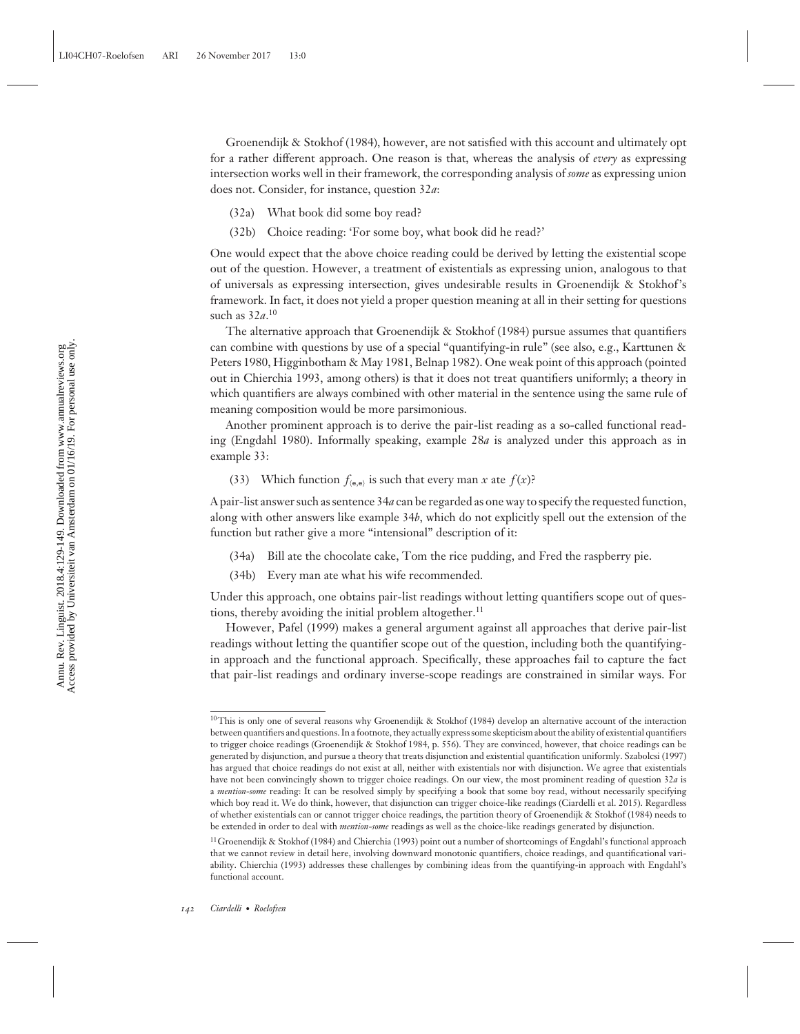Groenendijk & Stokhof (1984), however, are not satisfied with this account and ultimately opt for a rather different approach. One reason is that, whereas the analysis of *every* as expressing intersection works well in their framework, the corresponding analysis of *some* as expressing union does not. Consider, for instance, question 32*a*:

- (32a) What book did some boy read?
- (32b) Choice reading: 'For some boy, what book did he read?'

One would expect that the above choice reading could be derived by letting the existential scope out of the question. However, a treatment of existentials as expressing union, analogous to that of universals as expressing intersection, gives undesirable results in Groenendijk & Stokhof's framework. In fact, it does not yield a proper question meaning at all in their setting for questions such as 32*a*. 10

The alternative approach that Groenendijk & Stokhof (1984) pursue assumes that quantifiers can combine with questions by use of a special "quantifying-in rule" (see also, e.g., Karttunen & Peters 1980, Higginbotham & May 1981, Belnap 1982). One weak point of this approach (pointed out in Chierchia 1993, among others) is that it does not treat quantifiers uniformly; a theory in which quantifiers are always combined with other material in the sentence using the same rule of meaning composition would be more parsimonious.

Another prominent approach is to derive the pair-list reading as a so-called functional reading (Engdahl 1980). Informally speaking, example 28*a* is analyzed under this approach as in example 33:

(33) Which function  $f_{(e,e)}$  is such that every man *x* ate  $f(x)$ ?

A pair-list answer such as sentence 34*a* can be regarded as one way to specify the requested function, along with other answers like example 34*b*, which do not explicitly spell out the extension of the function but rather give a more "intensional" description of it:

- (34a) Bill ate the chocolate cake, Tom the rice pudding, and Fred the raspberry pie.
- (34b) Every man ate what his wife recommended.

Under this approach, one obtains pair-list readings without letting quantifiers scope out of questions, thereby avoiding the initial problem altogether.<sup>11</sup>

However, Pafel (1999) makes a general argument against all approaches that derive pair-list readings without letting the quantifier scope out of the question, including both the quantifyingin approach and the functional approach. Specifically, these approaches fail to capture the fact that pair-list readings and ordinary inverse-scope readings are constrained in similar ways. For

<sup>&</sup>lt;sup>10</sup>This is only one of several reasons why Groenendijk & Stokhof (1984) develop an alternative account of the interaction between quantifiers and questions. In a footnote, they actually express some skepticism about the ability of existential quantifiers to trigger choice readings (Groenendijk & Stokhof 1984, p. 556). They are convinced, however, that choice readings can be generated by disjunction, and pursue a theory that treats disjunction and existential quantification uniformly. Szabolcsi (1997) has argued that choice readings do not exist at all, neither with existentials nor with disjunction. We agree that existentials have not been convincingly shown to trigger choice readings. On our view, the most prominent reading of question 32*a* is a *mention-some* reading: It can be resolved simply by specifying a book that some boy read, without necessarily specifying which boy read it. We do think, however, that disjunction can trigger choice-like readings (Ciardelli et al. 2015). Regardless of whether existentials can or cannot trigger choice readings, the partition theory of Groenendijk & Stokhof (1984) needs to be extended in order to deal with *mention-some* readings as well as the choice-like readings generated by disjunction.

<sup>&</sup>lt;sup>11</sup> Groenendijk & Stokhof (1984) and Chierchia (1993) point out a number of shortcomings of Engdahl's functional approach that we cannot review in detail here, involving downward monotonic quantifiers, choice readings, and quantificational variability. Chierchia (1993) addresses these challenges by combining ideas from the quantifying-in approach with Engdahl's functional account.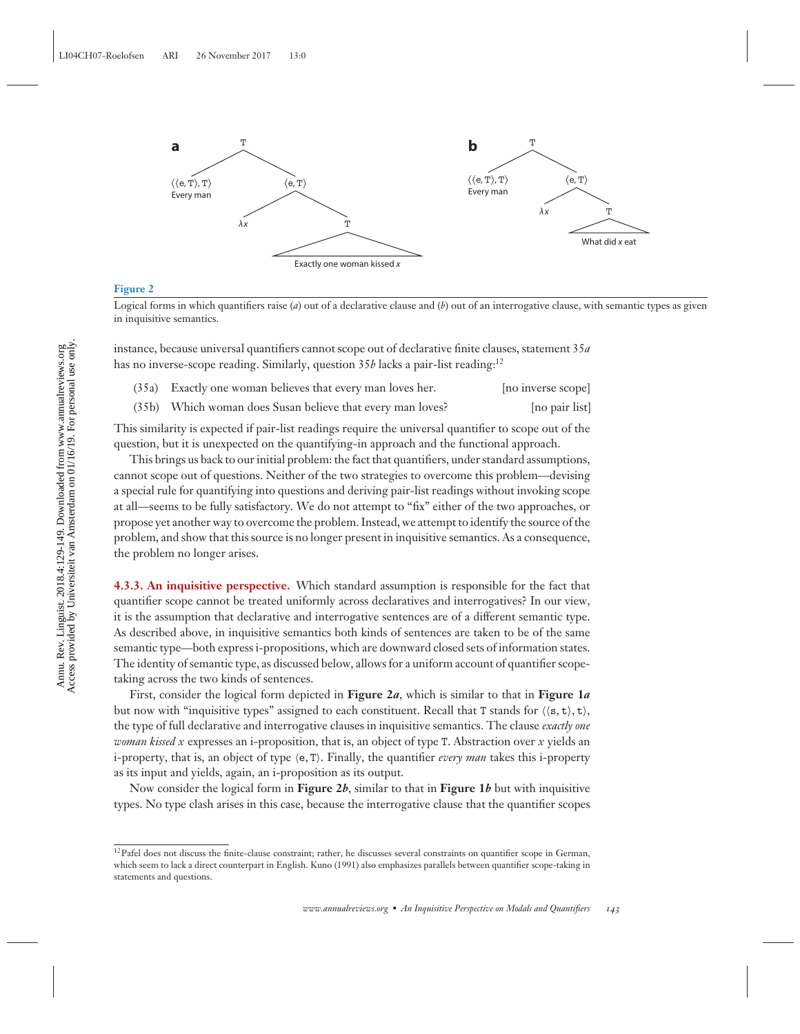

#### **Figure 2**

Logical forms in which quantifiers raise (*a*) out of a declarative clause and (*b*) out of an interrogative clause, with semantic types as given in inquisitive semantics.

instance, because universal quantifiers cannot scope out of declarative finite clauses, statement 35*a* has no inverse-scope reading. Similarly, question 35*b* lacks a pair-list reading:<sup>12</sup>

| (35a) Exactly one woman believes that every man loves her. | [no inverse scope] |
|------------------------------------------------------------|--------------------|
| (35b) Which woman does Susan believe that every man loves? | [no pair list]     |

This similarity is expected if pair-list readings require the universal quantifier to scope out of the question, but it is unexpected on the quantifying-in approach and the functional approach.

This brings us back to our initial problem: the fact that quantifiers, under standard assumptions, cannot scope out of questions. Neither of the two strategies to overcome this problem—devising a special rule for quantifying into questions and deriving pair-list readings without invoking scope at all—seems to be fully satisfactory. We do not attempt to "fix" either of the two approaches, or propose yet another way to overcome the problem. Instead, we attempt to identify the source of the problem, and show that this source is no longer present in inquisitive semantics. As a consequence, the problem no longer arises.

**4.3.3. An inquisitive perspective.** Which standard assumption is responsible for the fact that quantifier scope cannot be treated uniformly across declaratives and interrogatives? In our view, it is the assumption that declarative and interrogative sentences are of a different semantic type. As described above, in inquisitive semantics both kinds of sentences are taken to be of the same semantic type—both express i-propositions, which are downward closed sets of information states. The identity of semantic type, as discussed below, allows for a uniform account of quantifier scopetaking across the two kinds of sentences.

First, consider the logical form depicted in **Figure 2***a*, which is similar to that in **Figure 1***a* but now with "inquisitive types" assigned to each constituent. Recall that T stands for  $(\langle s, t \rangle, t)$ , the type of full declarative and interrogative clauses in inquisitive semantics. The clause *exactly one woman kissed x* expresses an i-proposition, that is, an object of type T. Abstraction over *x* yields an i-property, that is, an object of type e, T. Finally, the quantifier *every man* takes this i-property as its input and yields, again, an i-proposition as its output.

Now consider the logical form in **Figure 2***b*, similar to that in **Figure 1***b* but with inquisitive types. No type clash arises in this case, because the interrogative clause that the quantifier scopes

<sup>&</sup>lt;sup>12</sup>Pafel does not discuss the finite-clause constraint; rather, he discusses several constraints on quantifier scope in German, which seem to lack a direct counterpart in English. Kuno (1991) also emphasizes parallels between quantifier scope-taking in statements and questions.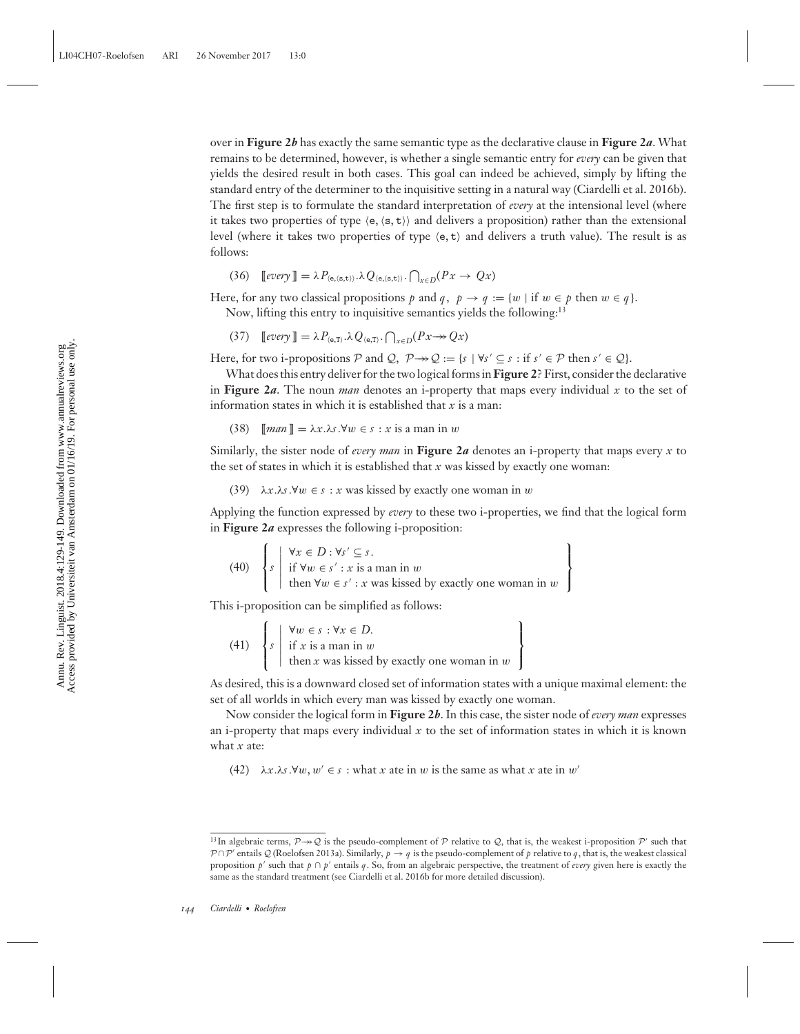over in **Figure 2***b* has exactly the same semantic type as the declarative clause in **Figure 2***a*. What remains to be determined, however, is whether a single semantic entry for *every* can be given that yields the desired result in both cases. This goal can indeed be achieved, simply by lifting the standard entry of the determiner to the inquisitive setting in a natural way (Ciardelli et al. 2016b). The first step is to formulate the standard interpretation of *every* at the intensional level (where it takes two properties of type  $\langle e, \langle s, t \rangle \rangle$  and delivers a proposition) rather than the extensional level (where it takes two properties of type  $\langle e, t \rangle$  and delivers a truth value). The result is as follows:

 $(36)$  [[*every*]] =  $\lambda P_{\langle e,(s,t) \rangle}.\lambda Q_{\langle e,(s,t) \rangle}.\bigcap_{x \in D}(Px \to Qx)$ 

Here, for any two classical propositions *p* and *q*,  $p \rightarrow q := \{w \mid \text{if } w \in p \text{ then } w \in q\}.$ 

Now, lifting this entry to inquisitive semantics yields the following:<sup>13</sup>

 $\text{(37)}$   $\text{[every]} = \lambda P_{\langle \mathbf{e}, \mathbf{T} \rangle} \cdot \lambda Q_{\langle \mathbf{e}, \mathbf{T} \rangle} \cdot \bigcap_{x \in D} (Px \rightarrow Qx)$ 

Here, for two i-propositions P and Q,  $P \rightarrow Q := \{ s \mid \forall s' \subseteq s : \text{if } s' \in P \text{ then } s' \in Q \}.$ 

What does this entry deliver for the two logical forms in**Figure 2**? First, consider the declarative in **Figure 2***a*. The noun *man* denotes an i-property that maps every individual *x* to the set of information states in which it is established that *x* is a man:

(38)  $\llbracket \text{man} \rrbracket = \lambda x \cdot \lambda s \cdot \forall w \in s : x \text{ is a man in } w$ 

Similarly, the sister node of *every man* in **Figure 2***a* denotes an i-property that maps every *x* to the set of states in which it is established that  $x$  was kissed by exactly one woman:

(39)  $\lambda x.\lambda s.\forall w \in s : x$  was kissed by exactly one woman in w

Applying the function expressed by *every* to these two i-properties, we find that the logical form in **Figure 2***a* expresses the following i-proposition:

(40) 
$$
\left\{ s \mid \begin{array}{l} \forall x \in D : \forall s' \subseteq s. \\ \text{if } \forall w \in s' : x \text{ is a man in } w \\ \text{then } \forall w \in s' : x \text{ was kissed by exactly one woman in } w \end{array} \right\}
$$

This i-proposition can be simplified as follows:

(41)  $\sqrt{ }$  $\overline{I}$  $\mathsf{l}$ *s*  $\begin{array}{c} \hline \end{array}$ ∀w ∈ *s* : ∀*x* ∈ *D*. if *x* is a man in w then *x* was kissed by exactly one woman in w  $\mathbf{I}$  $\overline{\mathsf{I}}$  $\overline{J}$ 

As desired, this is a downward closed set of information states with a unique maximal element: the set of all worlds in which every man was kissed by exactly one woman.

Now consider the logical form in **Figure 2***b*. In this case, the sister node of *every man* expresses an i-property that maps every individual  $x$  to the set of information states in which it is known what *x* ate:

(42)  $\lambda x.\lambda s.\forall w, w' \in s : \text{what } x \text{ ate in } w \text{ is the same as what } x \text{ ate in } w'$ 

<sup>&</sup>lt;sup>13</sup>In algebraic terms,  $\mathcal{P} \rightarrow \mathcal{Q}$  is the pseudo-complement of  $\mathcal{P}$  relative to  $\mathcal{Q}$ , that is, the weakest i-proposition  $\mathcal{P}'$  such that  $P \cap P'$  entails Q (Roelofsen 2013a). Similarly,  $p \to q$  is the pseudo-complement of p relative to q, that is, the weakest classical proposition *p* such that *p* ∩ *p* entails *q*. So, from an algebraic perspective, the treatment of *every* given here is exactly the same as the standard treatment (see Ciardelli et al. 2016b for more detailed discussion).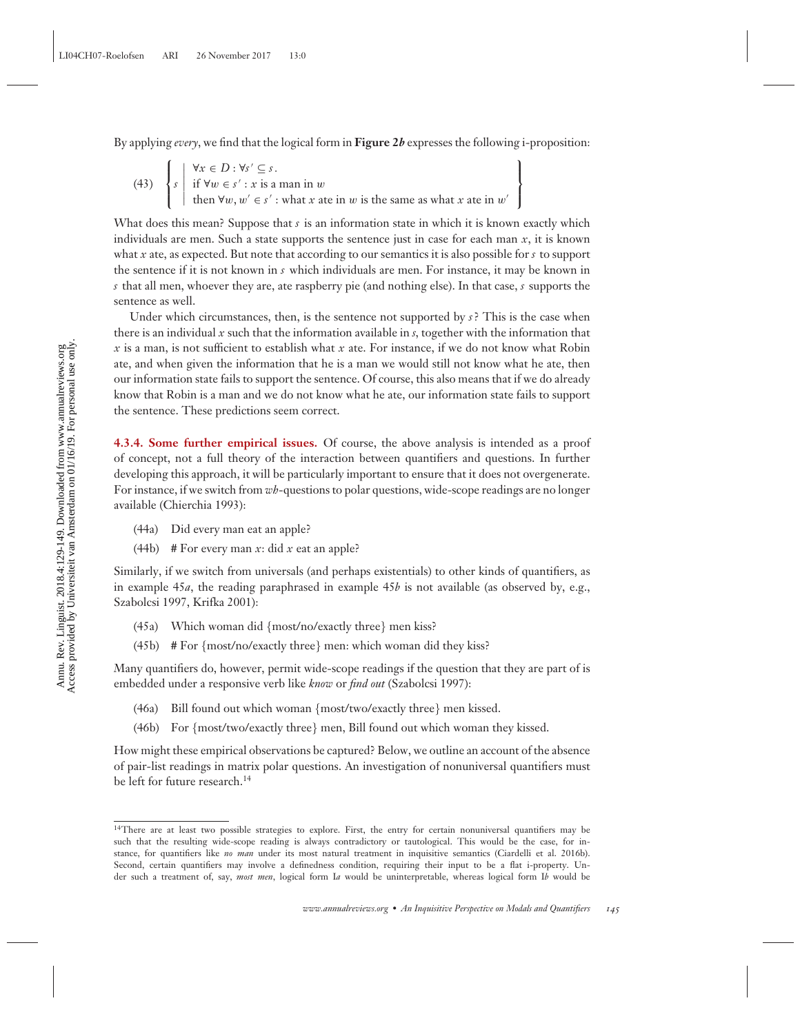By applying *every*, we find that the logical form in **Figure 2***b* expresses the following i-proposition:

(43) 
$$
\left\{ s \mid \begin{array}{l} \forall x \in D : \forall s' \subseteq s. \\ \text{if } \forall w \in s' : x \text{ is a man in } w \\ \text{then } \forall w, w' \in s' : \text{what } x \text{ ate in } w \text{ is the same as what } x \text{ ate in } w' \end{array} \right\}
$$

What does this mean? Suppose that *s* is an information state in which it is known exactly which individuals are men. Such a state supports the sentence just in case for each man  $x$ , it is known what *x* ate, as expected. But note that according to our semantics it is also possible for *s* to support the sentence if it is not known in *s* which individuals are men. For instance, it may be known in *s* that all men, whoever they are, ate raspberry pie (and nothing else). In that case, *s* supports the sentence as well.

Under which circumstances, then, is the sentence not supported by  $s$ ? This is the case when there is an individual *x* such that the information available in *s*, together with the information that *x* is a man, is not sufficient to establish what *x* ate. For instance, if we do not know what Robin ate, and when given the information that he is a man we would still not know what he ate, then our information state fails to support the sentence. Of course, this also means that if we do already know that Robin is a man and we do not know what he ate, our information state fails to support the sentence. These predictions seem correct.

**4.3.4. Some further empirical issues.** Of course, the above analysis is intended as a proof of concept, not a full theory of the interaction between quantifiers and questions. In further developing this approach, it will be particularly important to ensure that it does not overgenerate. For instance, if we switch from *wh*-questions to polar questions, wide-scope readings are no longer available (Chierchia 1993):

- (44a) Did every man eat an apple?
- (44b) # For every man *x*: did *x* eat an apple?

Similarly, if we switch from universals (and perhaps existentials) to other kinds of quantifiers, as in example 45*a*, the reading paraphrased in example 45*b* is not available (as observed by, e.g., Szabolcsi 1997, Krifka 2001):

- (45a) Which woman did {most/no/exactly three} men kiss?
- $(45b)$  # For  ${most/no/exactly three}$  men: which woman did they kiss?

Many quantifiers do, however, permit wide-scope readings if the question that they are part of is embedded under a responsive verb like *know* or *find out* (Szabolcsi 1997):

- (46a) Bill found out which woman {most/two/exactly three} men kissed.
- (46b) For {most/two/exactly three} men, Bill found out which woman they kissed.

How might these empirical observations be captured? Below, we outline an account of the absence of pair-list readings in matrix polar questions. An investigation of nonuniversal quantifiers must be left for future research.<sup>14</sup>

<sup>14</sup>There are at least two possible strategies to explore. First, the entry for certain nonuniversal quantifiers may be such that the resulting wide-scope reading is always contradictory or tautological. This would be the case, for instance, for quantifiers like *no man* under its most natural treatment in inquisitive semantics (Ciardelli et al. 2016b). Second, certain quantifiers may involve a definedness condition, requiring their input to be a flat i-property. Under such a treatment of, say, *most men*, logical form I*a* would be uninterpretable, whereas logical form I*b* would be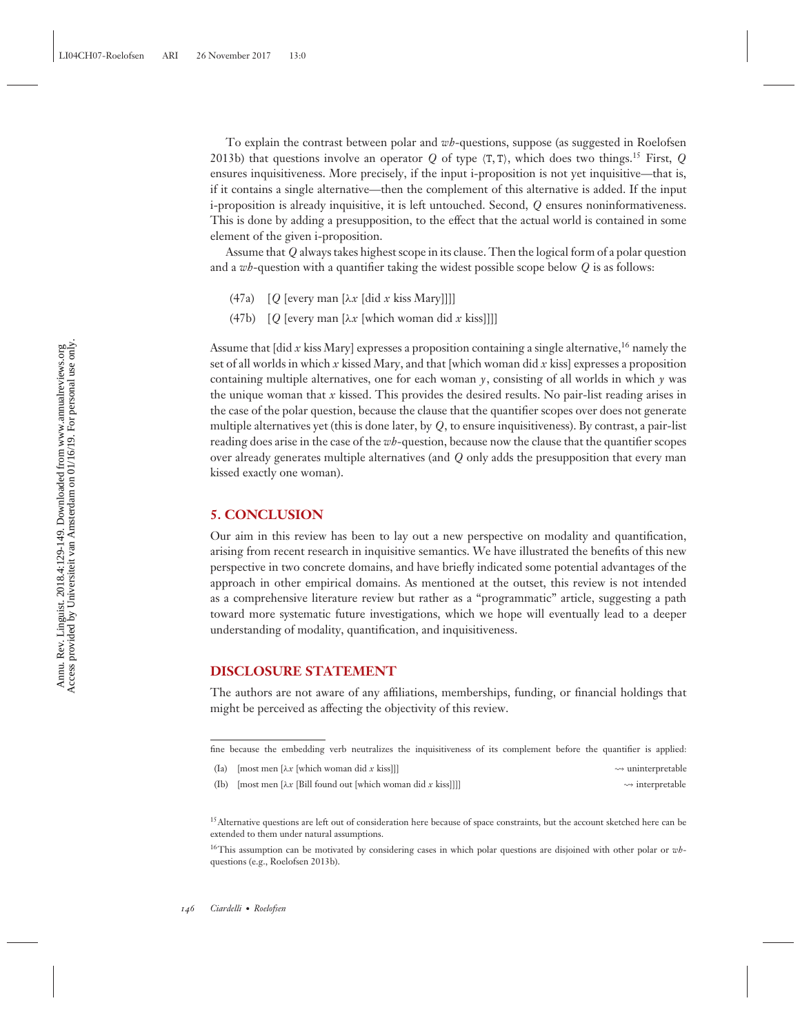To explain the contrast between polar and *wh*-questions, suppose (as suggested in Roelofsen 2013b) that questions involve an operator *Q* of type  $\langle T, T \rangle$ , which does two things.<sup>15</sup> First, *Q* ensures inquisitiveness. More precisely, if the input i-proposition is not yet inquisitive—that is, if it contains a single alternative—then the complement of this alternative is added. If the input i-proposition is already inquisitive, it is left untouched. Second, *Q* ensures noninformativeness. This is done by adding a presupposition, to the effect that the actual world is contained in some element of the given i-proposition.

Assume that *Q* always takes highest scope in its clause. Then the logical form of a polar question and a *wh*-question with a quantifier taking the widest possible scope below *Q* is as follows:

- (47a)  $[Q$  [every man  $[\lambda x \text{ [did } x \text{ kiss Mary}]]]$ ]
- (47b)  $[Q$  [every man  $[\lambda x]$  [which woman did x kiss]]]]

Assume that [did *x* kiss Mary] expresses a proposition containing a single alternative,<sup>16</sup> namely the set of all worlds in which *x* kissed Mary, and that [which woman did *x* kiss] expresses a proposition containing multiple alternatives, one for each woman  $\gamma$ , consisting of all worlds in which  $\gamma$  was the unique woman that *x* kissed. This provides the desired results. No pair-list reading arises in the case of the polar question, because the clause that the quantifier scopes over does not generate multiple alternatives yet (this is done later, by *Q*, to ensure inquisitiveness). By contrast, a pair-list reading does arise in the case of the *wh*-question, because now the clause that the quantifier scopes over already generates multiple alternatives (and *Q* only adds the presupposition that every man kissed exactly one woman).

#### **5. CONCLUSION**

Our aim in this review has been to lay out a new perspective on modality and quantification, arising from recent research in inquisitive semantics. We have illustrated the benefits of this new perspective in two concrete domains, and have briefly indicated some potential advantages of the approach in other empirical domains. As mentioned at the outset, this review is not intended as a comprehensive literature review but rather as a "programmatic" article, suggesting a path toward more systematic future investigations, which we hope will eventually lead to a deeper understanding of modality, quantification, and inquisitiveness.

#### **DISCLOSURE STATEMENT**

The authors are not aware of any affiliations, memberships, funding, or financial holdings that might be perceived as affecting the objectivity of this review.

(Ia) [most men [λ*x* [which woman did *x* kiss]]] - $\rightsquigarrow$  uninterpretable

(Ib) [most men  $[\lambda x]$  [Bill found out [which woman did x kiss]]]]  $\rightsquigarrow$  interpretable

fine because the embedding verb neutralizes the inquisitiveness of its complement before the quantifier is applied:

<sup>&</sup>lt;sup>15</sup>Alternative questions are left out of consideration here because of space constraints, but the account sketched here can be extended to them under natural assumptions.

<sup>16</sup>This assumption can be motivated by considering cases in which polar questions are disjoined with other polar or *wh*questions (e.g., Roelofsen 2013b).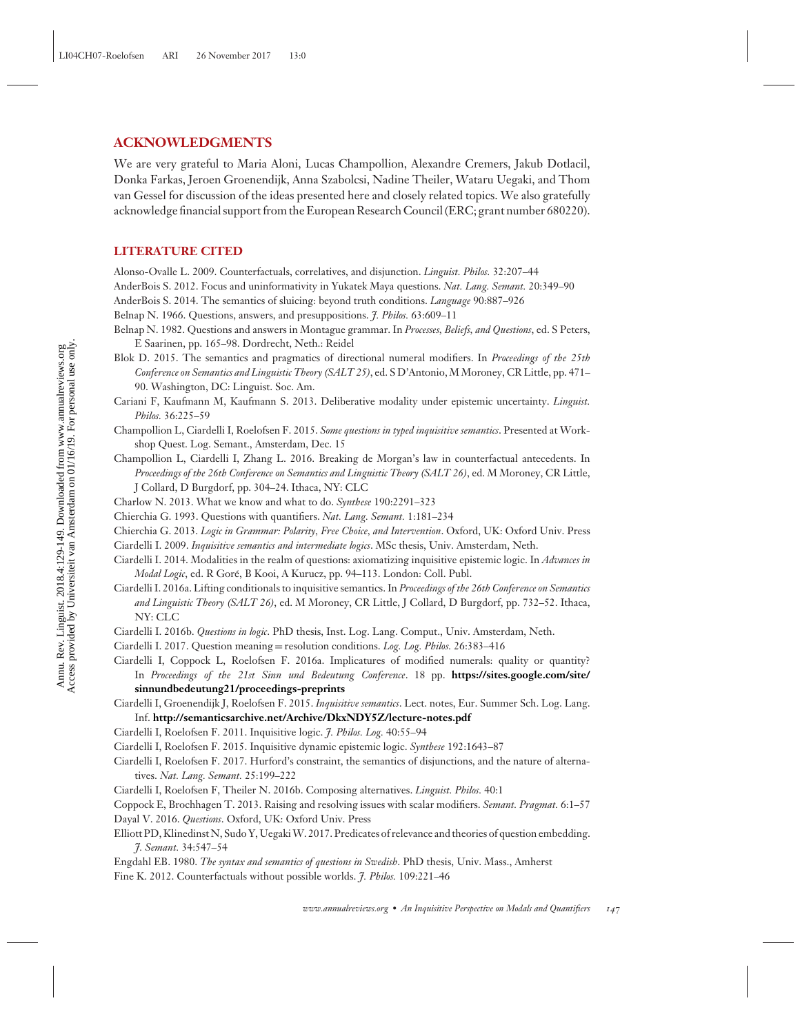#### **ACKNOWLEDGMENTS**

We are very grateful to Maria Aloni, Lucas Champollion, Alexandre Cremers, Jakub Dotlacil, Donka Farkas, Jeroen Groenendijk, Anna Szabolcsi, Nadine Theiler, Wataru Uegaki, and Thom van Gessel for discussion of the ideas presented here and closely related topics. We also gratefully acknowledge financial support from the European Research Council (ERC; grant number 680220).

#### **LITERATURE CITED**

Alonso-Ovalle L. 2009. Counterfactuals, correlatives, and disjunction. *Linguist. Philos.* 32:207–44

- AnderBois S. 2012. Focus and uninformativity in Yukatek Maya questions. *Nat. Lang. Semant.* 20:349–90
- AnderBois S. 2014. The semantics of sluicing: beyond truth conditions. *Language* 90:887–926

Belnap N. 1966. Questions, answers, and presuppositions. *J. Philos.* 63:609–11

- Belnap N. 1982. Questions and answers in Montague grammar. In *Processes, Beliefs, and Questions*, ed. S Peters, E Saarinen, pp. 165–98. Dordrecht, Neth.: Reidel
- Blok D. 2015. The semantics and pragmatics of directional numeral modifiers. In *Proceedings of the 25th Conference on Semantics and Linguistic Theory (SALT 25)*, ed. S D'Antonio, M Moroney, CR Little, pp. 471– 90. Washington, DC: Linguist. Soc. Am.

Cariani F, Kaufmann M, Kaufmann S. 2013. Deliberative modality under epistemic uncertainty. *Linguist. Philos.* 36:225–59

- Champollion L, Ciardelli I, Roelofsen F. 2015. *Some questions in typed inquisitive semantics*. Presented at Workshop Quest. Log. Semant., Amsterdam, Dec. 15
- Champollion L, Ciardelli I, Zhang L. 2016. Breaking de Morgan's law in counterfactual antecedents. In *Proceedings of the 26th Conference on Semantics and Linguistic Theory (SALT 26)*, ed. M Moroney, CR Little, J Collard, D Burgdorf, pp. 304–24. Ithaca, NY: CLC
- Charlow N. 2013. What we know and what to do. *Synthese* 190:2291–323
- Chierchia G. 1993. Questions with quantifiers. *Nat. Lang. Semant.* 1:181–234
- Chierchia G. 2013. *Logic in Grammar: Polarity, Free Choice, and Intervention*. Oxford, UK: Oxford Univ. Press
- Ciardelli I. 2009. *Inquisitive semantics and intermediate logics*. MSc thesis, Univ. Amsterdam, Neth.
- Ciardelli I. 2014. Modalities in the realm of questions: axiomatizing inquisitive epistemic logic. In *Advances in Modal Logic*, ed. R Gore, B Kooi, A Kurucz, pp. 94–113. London: Coll. Publ. ´
- Ciardelli I. 2016a. Lifting conditionals to inquisitive semantics. In *Proceedings of the 26th Conference on Semantics and Linguistic Theory (SALT 26)*, ed. M Moroney, CR Little, J Collard, D Burgdorf, pp. 732–52. Ithaca, NY: CLC
- Ciardelli I. 2016b. *Questions in logic*. PhD thesis, Inst. Log. Lang. Comput., Univ. Amsterdam, Neth.
- Ciardelli I. 2017. Question meaning = resolution conditions. *Log. Log. Philos.* 26:383–416

Ciardelli I, Coppock L, Roelofsen F. 2016a. Implicatures of modified numerals: quality or quantity? In *Proceedings of the 21st Sinn und Bedeutung Conference*. 18 pp. **[https://sites.google.com/site/](https://sites.google.com/site/sinnundbedeutung21/proceedings-preprints) [sinnundbedeutung21/proceedings-preprints](https://sites.google.com/site/sinnundbedeutung21/proceedings-preprints)**

- Ciardelli I, Groenendijk J, Roelofsen F. 2015. *Inquisitive semantics*. Lect. notes, Eur. Summer Sch. Log. Lang. Inf. **<http://semanticsarchive.net/Archive/DkxNDY5Z/lecture-notes.pdf>**
- Ciardelli I, Roelofsen F. 2011. Inquisitive logic. *J. Philos. Log.* 40:55–94
- Ciardelli I, Roelofsen F. 2015. Inquisitive dynamic epistemic logic. *Synthese* 192:1643–87
- Ciardelli I, Roelofsen F. 2017. Hurford's constraint, the semantics of disjunctions, and the nature of alternatives. *Nat. Lang. Semant.* 25:199–222
- Ciardelli I, Roelofsen F, Theiler N. 2016b. Composing alternatives. *Linguist. Philos.* 40:1
- Coppock E, Brochhagen T. 2013. Raising and resolving issues with scalar modifiers. *Semant. Pragmat.* 6:1–57
- Dayal V. 2016. *Questions*. Oxford, UK: Oxford Univ. Press
- Elliott PD, Klinedinst N, Sudo Y, Uegaki W. 2017. Predicates of relevance and theories of question embedding *J. Semant.* 34:547–54

Engdahl EB. 1980. *The syntax and semantics of questions in Swedish*. PhD thesis, Univ. Mass., Amherst Fine K. 2012. Counterfactuals without possible worlds. *J. Philos.* 109:221–46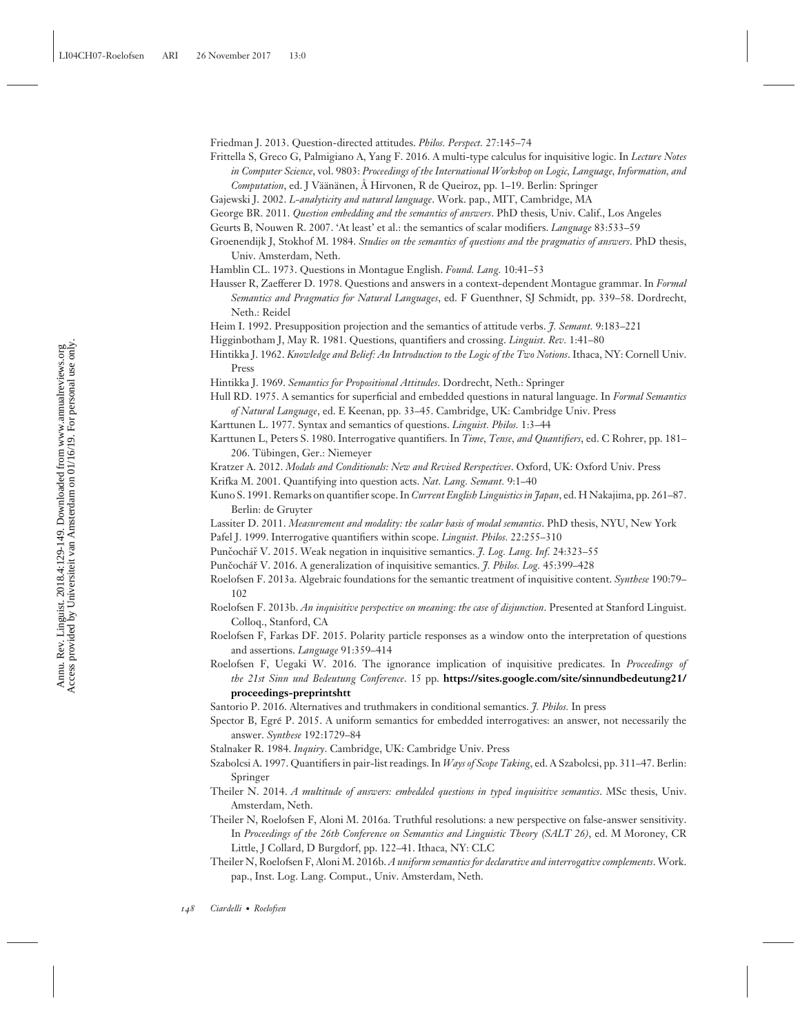Friedman J. 2013. Question-directed attitudes. *Philos. Perspect.* 27:145–74

Frittella S, Greco G, Palmigiano A, Yang F. 2016. A multi-type calculus for inquisitive logic. In *Lecture Notes in Computer Science*, vol. 9803: *Proceedings of the International Workshop on Logic, Language, Information, and Computation*, ed. J Väänänen, Å Hirvonen, R de Queiroz, pp. 1–19. Berlin: Springer

- Geurts B, Nouwen R. 2007. 'At least' et al.: the semantics of scalar modifiers. *Language* 83:533–59
- Groenendijk J, Stokhof M. 1984. *Studies on the semantics of questions and the pragmatics of answers*. PhD thesis, Univ. Amsterdam, Neth.
- Hamblin CL. 1973. Questions in Montague English. *Found. Lang.* 10:41–53
- Hausser R, Zaefferer D. 1978. Questions and answers in a context-dependent Montague grammar. In *Formal Semantics and Pragmatics for Natural Languages*, ed. F Guenthner, SJ Schmidt, pp. 339–58. Dordrecht, Neth.: Reidel
- Heim I. 1992. Presupposition projection and the semantics of attitude verbs. *J. Semant.* 9:183–221
- Higginbotham J, May R. 1981. Questions, quantifiers and crossing. *Linguist. Rev.* 1:41–80
- Hintikka J. 1962. *Knowledge and Belief: An Introduction to the Logic of the Two Notions*. Ithaca, NY: Cornell Univ. Press
- Hintikka J. 1969. *Semantics for Propositional Attitudes*. Dordrecht, Neth.: Springer

Hull RD. 1975. A semantics for superficial and embedded questions in natural language. In *Formal Semantics of Natural Language*, ed. E Keenan, pp. 33–45. Cambridge, UK: Cambridge Univ. Press

- Karttunen L. 1977. Syntax and semantics of questions. *Linguist. Philos.* 1:3–44
- Karttunen L, Peters S. 1980. Interrogative quantifiers. In *Time, Tense, and Quantifiers*, ed. C Rohrer, pp. 181– 206. Tubingen, Ger.: Niemeyer ¨

Kratzer A. 2012. *Modals and Conditionals: New and Revised Rerspectives*. Oxford, UK: Oxford Univ. Press

- Krifka M. 2001. Quantifying into question acts. *Nat. Lang. Semant.* 9:1–40
- Kuno S. 1991. Remarks on quantifier scope. In *Current English Linguistics in Japan*, ed. H Nakajima, pp. 261–87. Berlin: de Gruyter
- Lassiter D. 2011. *Measurement and modality: the scalar basis of modal semantics*. PhD thesis, NYU, New York Pafel J. 1999. Interrogative quantifiers within scope. *Linguist. Philos.* 22:255–310
- Punčochář V. 2015. Weak negation in inquisitive semantics. *† Log. Lang. Inf.* 24:323–55
- Punčochář V. 2016. A generalization of inquisitive semantics. *J. Philos. Log.* 45:399-428
- Roelofsen F. 2013a. Algebraic foundations for the semantic treatment of inquisitive content. *Synthese* 190:79– 102
- Roelofsen F. 2013b. *An inquisitive perspective on meaning: the case of disjunction*. Presented at Stanford Linguist. Colloq., Stanford, CA
- Roelofsen F, Farkas DF. 2015. Polarity particle responses as a window onto the interpretation of questions and assertions. *Language* 91:359–414
- Roelofsen F, Uegaki W. 2016. The ignorance implication of inquisitive predicates. In *Proceedings of the 21st Sinn und Bedeutung Conference*. 15 pp. **[https://sites.google.com/site/sinnundbedeutung21/](https://sites.google.com/site/sinnundbedeutung21/proceedings-preprints) [proceedings-preprintshtt](https://sites.google.com/site/sinnundbedeutung21/proceedings-preprints)**
- Santorio P. 2016. Alternatives and truthmakers in conditional semantics. *J. Philos.* In press
- Spector B, Egré P. 2015. A uniform semantics for embedded interrogatives: an answer, not necessarily the answer. *Synthese* 192:1729–84
- Stalnaker R. 1984. *Inquiry*. Cambridge, UK: Cambridge Univ. Press
- Szabolcsi A. 1997. Quantifiers in pair-list readings. In *Ways of Scope Taking*, ed. A Szabolcsi, pp. 311–47. Berlin: Springer
- Theiler N. 2014. *A multitude of answers: embedded questions in typed inquisitive semantics*. MSc thesis, Univ. Amsterdam, Neth.
- Theiler N, Roelofsen F, Aloni M. 2016a. Truthful resolutions: a new perspective on false-answer sensitivity. In *Proceedings of the 26th Conference on Semantics and Linguistic Theory (SALT 26)*, ed. M Moroney, CR Little, J Collard, D Burgdorf, pp. 122–41. Ithaca, NY: CLC
- Theiler N, Roelofsen F, Aloni M. 2016b. *A uniform semantics for declarative and interrogative complements*.Work. pap., Inst. Log. Lang. Comput., Univ. Amsterdam, Neth.

Gajewski J. 2002. *L-analyticity and natural language*. Work. pap., MIT, Cambridge, MA

George BR. 2011. *Question embedding and the semantics of answers*. PhD thesis, Univ. Calif., Los Angeles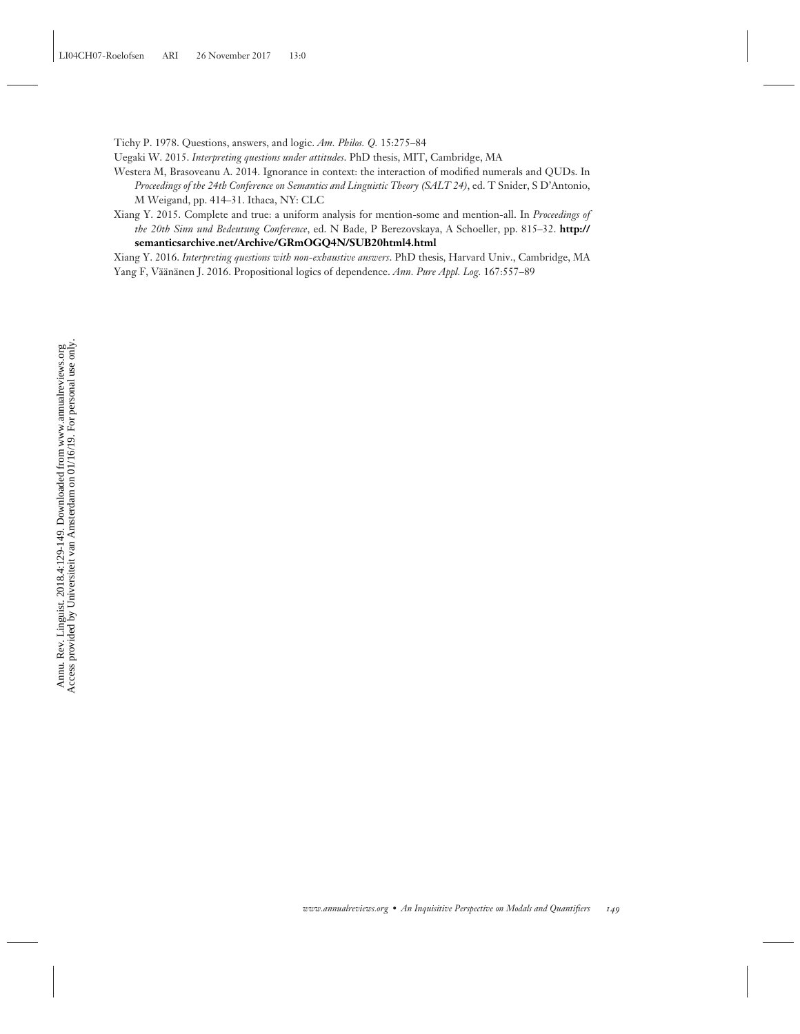Tichy P. 1978. Questions, answers, and logic. *Am. Philos. Q.* 15:275–84

Uegaki W. 2015. *Interpreting questions under attitudes*. PhD thesis, MIT, Cambridge, MA

- Westera M, Brasoveanu A. 2014. Ignorance in context: the interaction of modified numerals and QUDs. In *Proceedings of the 24th Conference on Semantics and Linguistic Theory (SALT 24)*, ed. T Snider, S D'Antonio, M Weigand, pp. 414–31. Ithaca, NY: CLC
- Xiang Y. 2015. Complete and true: a uniform analysis for mention-some and mention-all. In *Proceedings of the 20th Sinn und Bedeutung Conference*, ed. N Bade, P Berezovskaya, A Schoeller, pp. 815–32. **[http://](http://semanticsarchive.net/Archive/GRmOGQ4N/SUB20html4.html) [semanticsarchive.net/Archive/GRmOGQ4N/SUB20html4.html](http://semanticsarchive.net/Archive/GRmOGQ4N/SUB20html4.html)**

Xiang Y. 2016. *Interpreting questions with non-exhaustive answers*. PhD thesis, Harvard Univ., Cambridge, MA Yang F, Väänänen J. 2016. Propositional logics of dependence. Ann. Pure Appl. Log. 167:557-89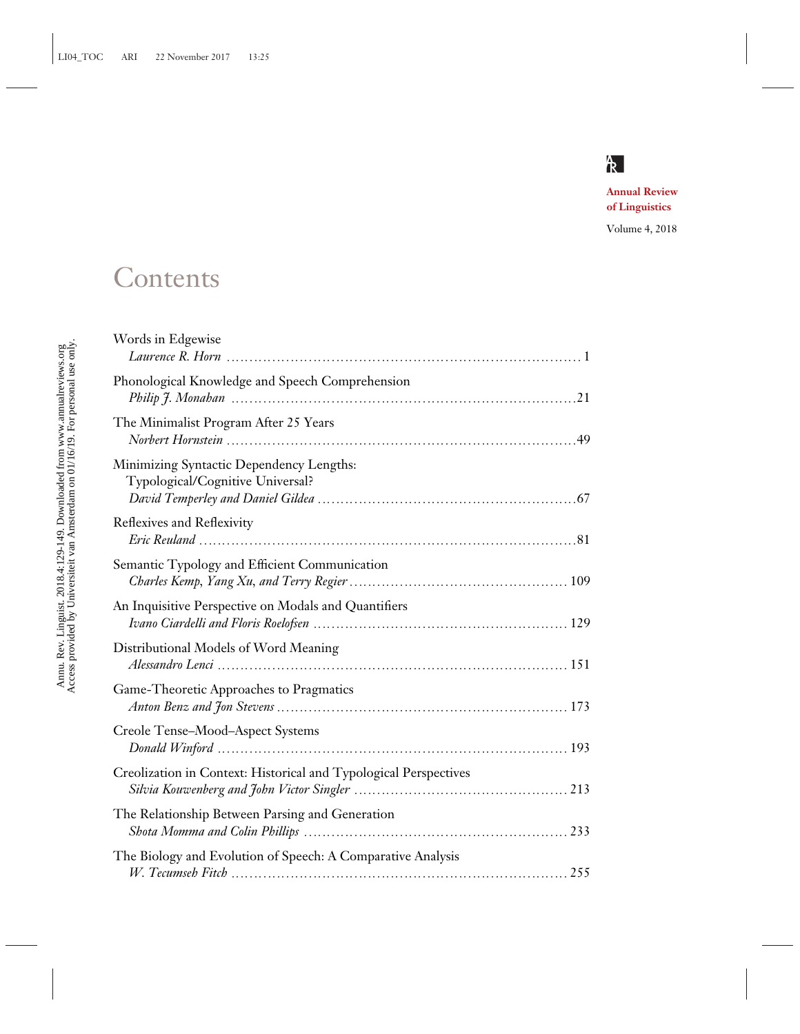

**Annual Review of Linguistics**

Volume 4, 2018

# **Contents**

| Words in Edgewise                                                            |
|------------------------------------------------------------------------------|
| Phonological Knowledge and Speech Comprehension                              |
| The Minimalist Program After 25 Years                                        |
| Minimizing Syntactic Dependency Lengths:<br>Typological/Cognitive Universal? |
| Reflexives and Reflexivity                                                   |
| Semantic Typology and Efficient Communication                                |
| An Inquisitive Perspective on Modals and Quantifiers                         |
| Distributional Models of Word Meaning                                        |
| Game-Theoretic Approaches to Pragmatics                                      |
| Creole Tense-Mood-Aspect Systems                                             |
| Creolization in Context: Historical and Typological Perspectives             |
| The Relationship Between Parsing and Generation                              |
| The Biology and Evolution of Speech: A Comparative Analysis                  |